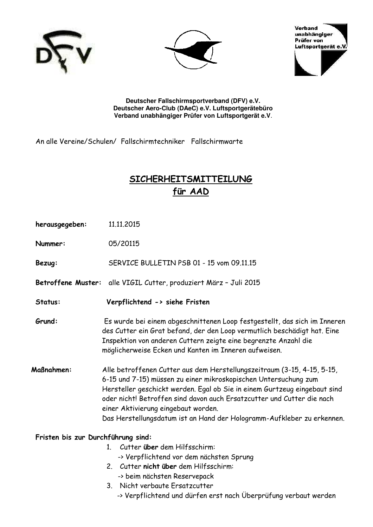





**Deutscher Fallschirmsportverband (DFV) e.V. Deutscher Aero-Club (DAeC) e.V. Luftsportgerätebüro Verband unabhängiger Prüfer von Luftsportgerät e.V**.

An alle Vereine/Schulen/ Fallschirmtechniker Fallschirmwarte

# **SICHERHEITSMITTEILUNG für AAD**

| herausgegeben:                     | 11.11.2015                                                                                                                                                                                                                                                                                                                                                                                                         |
|------------------------------------|--------------------------------------------------------------------------------------------------------------------------------------------------------------------------------------------------------------------------------------------------------------------------------------------------------------------------------------------------------------------------------------------------------------------|
| Nummer:                            | 05/20115                                                                                                                                                                                                                                                                                                                                                                                                           |
| Bezug:                             | SERVICE BULLETIN PSB 01 - 15 vom 09.11.15                                                                                                                                                                                                                                                                                                                                                                          |
|                                    | Betroffene Muster: alle VIGIL Cutter, produziert März - Juli 2015                                                                                                                                                                                                                                                                                                                                                  |
| Status:                            | Verpflichtend -> siehe Fristen                                                                                                                                                                                                                                                                                                                                                                                     |
| Grund:                             | Es wurde bei einem abgeschnittenen Loop festgestellt, das sich im Inneren<br>des Cutter ein Grat befand, der den Loop vermutlich beschädigt hat. Eine<br>Inspektion von anderen Cuttern zeigte eine begrenzte Anzahl die<br>möglicherweise Ecken und Kanten im Inneren aufweisen.                                                                                                                                  |
| <b>Maßnahmen:</b>                  | Alle betroffenen Cutter aus dem Herstellungszeitraum (3-15, 4-15, 5-15,<br>6-15 und 7-15) müssen zu einer mikroskopischen Untersuchung zum<br>Hersteller geschickt werden. Egal ob Sie in einem Gurtzeug eingebaut sind<br>oder nicht! Betroffen sind davon auch Ersatzcutter und Cutter die nach<br>einer Aktivierung eingebaut worden.<br>Das Herstellungsdatum ist an Hand der Hologramm-Aufkleber zu erkennen. |
| Fristen bis zur Durchführung sind: |                                                                                                                                                                                                                                                                                                                                                                                                                    |
|                                    | 1. Cutter über dem Hilfsschirm:                                                                                                                                                                                                                                                                                                                                                                                    |
|                                    | -> Verpflichtend vor dem nächsten Sprung                                                                                                                                                                                                                                                                                                                                                                           |

- 2. Cutter **nicht über** dem Hilfsschirm:
	- -> beim nächsten Reservepack
- 3. Nicht verbaute Ersatzcutter
	- -> Verpflichtend und dürfen erst nach Überprüfung verbaut werden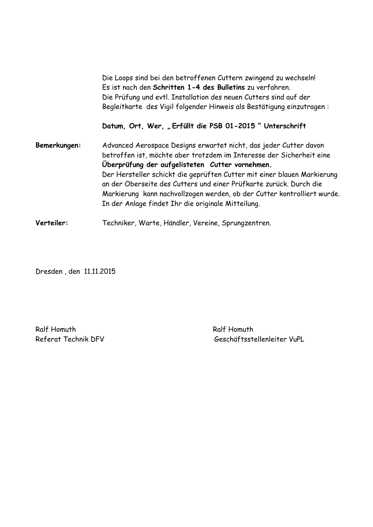|              | Die Loops sind bei den betroffenen Cuttern zwingend zu wechseln!<br>Es ist nach den Schritten 1-4 des Bulletins zu verfahren.<br>Die Prüfung und evtl. Installation des neuen Cutters sind auf der<br>Begleitkarte des Vigil folgender Hinweis als Bestätigung einzutragen:                                                                                                                                                                                                    |
|--------------|--------------------------------------------------------------------------------------------------------------------------------------------------------------------------------------------------------------------------------------------------------------------------------------------------------------------------------------------------------------------------------------------------------------------------------------------------------------------------------|
|              | Datum, Ort, Wer, "Erfüllt die PSB 01-2015" Unterschrift                                                                                                                                                                                                                                                                                                                                                                                                                        |
| Bemerkungen: | Advanced Aerospace Designs erwartet nicht, das jeder Cutter davon<br>betroffen ist, möchte aber trotzdem im Interesse der Sicherheit eine<br>Überprüfung der aufgelisteten Cutter vornehmen.<br>Der Hersteller schickt die geprüften Cutter mit einer blauen Markierung<br>an der Oberseite des Cutters und einer Prüfkarte zurück. Durch die<br>Markierung kann nachvollzogen werden, ob der Cutter kontrolliert wurde.<br>In der Anlage findet Ihr die originale Mitteilung. |
| Verteiler:   | Techniker, Warte, Händler, Vereine, Sprungzentren.                                                                                                                                                                                                                                                                                                                                                                                                                             |

Dresden , den 11.11.2015

Ralf Homuth Ralf Homuth

Referat Technik DFV Geschäftsstellenleiter VuPL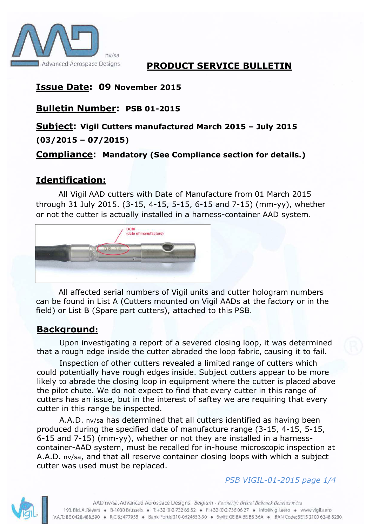

### **PRODUCT SERVICE BULLETIN**

## **Issue Date: 09 November 2015**

## **Bulletin Number: PSB 01-2015**

## **Subject: Vigil Cutters manufactured March 2015 – July 2015 (03/2015 – 07/2015)**

### **Compliance: Mandatory (See Compliance section for details.)**

# **Identification:**

All Vigil AAD cutters with Date of Manufacture from 01 March 2015 through 31 July 2015. (3-15, 4-15, 5-15, 6-15 and 7-15) (mm-yy), whether or not the cutter is actually installed in a harness-container AAD system.



All affected serial numbers of Vigil units and cutter hologram numbers can be found in List A (Cutters mounted on Vigil AADs at the factory or in the field) or List B (Spare part cutters), attached to this PSB.

## **Background:**

Upon investigating a report of a severed closing loop, it was determined that a rough edge inside the cutter abraded the loop fabric, causing it to fail.

Inspection of other cutters revealed a limited range of cutters which could potentially have rough edges inside. Subject cutters appear to be more likely to abrade the closing loop in equipment where the cutter is placed above the pilot chute. We do not expect to find that every cutter in this range of cutters has an issue, but in the interest of saftey we are requiring that every cutter in this range be inspected.

A.A.D. nv/sa has determined that all cutters identified as having been produced during the specified date of manufacture range (3-15, 4-15, 5-15, 6-15 and 7-15) (mm-yy), whether or not they are installed in a harnesscontainer-AAD system, must be recalled for in-house microscopic inspection at A.A.D. nv/sa, and that all reserve container closing loops with which a subject cutter was used must be replaced.



### *PSB VIGIL-01-2015 page 1/4*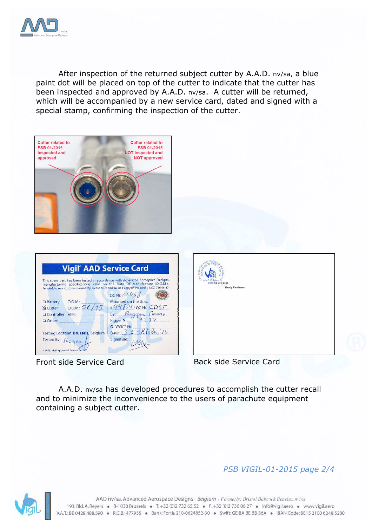

After inspection of the returned subject cutter by A.A.D. nv/sa, a blue paint dot will be placed on top of the cutter to indicate that the cutter has been inspected and approved by A.A.D. nv/sa. A cutter will be returned, which will be accompanied by a new service card, dated and signed with a special stamp, confirming the inspection of the cutter.







Front side Service Card Back side Service Card

A.A.D. nv/sa has developed procedures to accomplish the cutter recall and to minimize the inconvenience to the users of parachute equipment containing a subject cutter.

### *PSB VIGIL-01-2015 page 2/4*

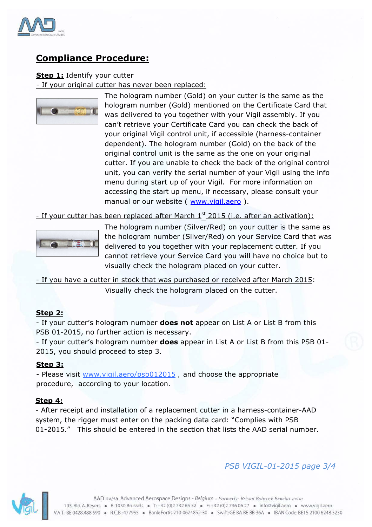

## **Compliance Procedure:**

#### **Step 1:** Identify your cutter

- If your original cutter has never been replaced:



The hologram number (Gold) on your cutter is the same as the hologram number (Gold) mentioned on the Certificate Card that was delivered to you together with your Vigil assembly. If you can't retrieve your Certificate Card you can check the back of your original Vigil control unit, if accessible (harness-container dependent). The hologram number (Gold) on the back of the original control unit is the same as the one on your original cutter. If you are unable to check the back of the original control unit, you can verify the serial number of your Vigil using the info menu during start up of your Vigil. For more information on accessing the start up menu, if necessary, please consult your manual or our website ( www.vigil.aero ).

- If your cutter has been replaced after March 1<sup>st</sup> 2015 (i.e. after an activation):



The hologram number (Silver/Red) on your cutter is the same as the hologram number (Silver/Red) on your Service Card that was delivered to you together with your replacement cutter. If you cannot retrieve your Service Card you will have no choice but to visually check the hologram placed on your cutter.

- If you have a cutter in stock that was purchased or received after March 2015: Visually check the hologram placed on the cutter.

#### **Step 2:**

- If your cutter's hologram number **does not** appear on List A or List B from this PSB 01-2015, no further action is necessary.

- If your cutter's hologram number **does** appear in List A or List B from this PSB 01- 2015, you should proceed to step 3.

#### **Step 3:**

- Please visit www.vigil.aero/psb012015, and choose the appropriate procedure, according to your location.

#### **Step 4:**

- After receipt and installation of a replacement cutter in a harness-container-AAD system, the rigger must enter on the packing data card: "Complies with PSB 01-2015." This should be entered in the section that lists the AAD serial number.

### *PSB VIGIL-01-2015 page 3/4*

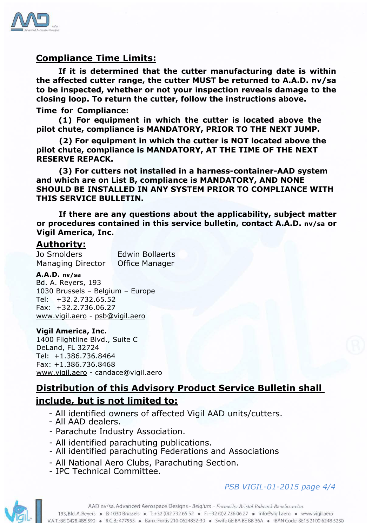

### **Compliance Time Limits:**

**If it is determined that the cutter manufacturing date is within the affected cutter range, the cutter MUST be returned to A.A.D. nv/sa to be inspected, whether or not your inspection reveals damage to the closing loop. To return the cutter, follow the instructions above.** 

#### **Time for Compliance:**

**(1) For equipment in which the cutter is located above the pilot chute, compliance is MANDATORY, PRIOR TO THE NEXT JUMP.**

**(2) For equipment in which the cutter is NOT located above the pilot chute, compliance is MANDATORY, AT THE TIME OF THE NEXT RESERVE REPACK.**

**(3) For cutters not installed in a harness-container-AAD system and which are on List B, compliance is MANDATORY, AND NONE SHOULD BE INSTALLED IN ANY SYSTEM PRIOR TO COMPLIANCE WITH THIS SERVICE BULLETIN.**

**If there are any questions about the applicability, subject matter or procedures contained in this service bulletin, contact A.A.D. nv/sa or Vigil America, Inc.**

### **Authority:**

Jo Smolders Edwin Bollaerts Managing Director Office Manager

#### **A.A.D. nv/sa**

Bd. A. Reyers, 193 1030 Brussels – Belgium – Europe Tel: +32.2.732.65.52 Fax: +32.2.736.06.27 www.vigil.aero - psb@vigil.aero

#### **Vigil America, Inc.**

1400 Flightline Blvd., Suite C DeLand, FL 32724 Tel: +1.386.736.8464 Fax: +1.386.736.8468 www.vigil.aero - candace@vigil.aero

# **Distribution of this Advisory Product Service Bulletin shall include, but is not limited to:**

- All identified owners of affected Vigil AAD units/cutters.
- All AAD dealers.
- Parachute Industry Association.
- All identified parachuting publications.
- All identified parachuting Federations and Associations
- All National Aero Clubs, Parachuting Section.
- IPC Technical Committee.

### *PSB VIGIL-01-2015 page 4/4*

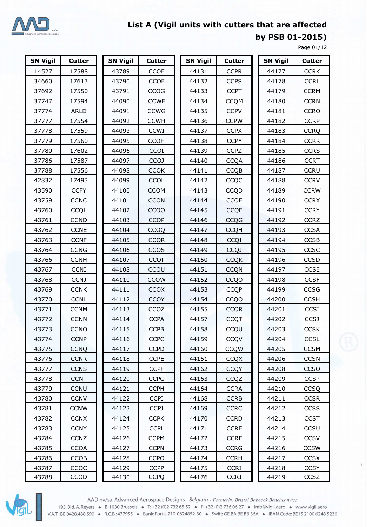

**by PSB 01-2015)**

Page 01/12

| <b>SN Vigil</b> | <b>Cutter</b> | <b>SN Vigil</b> | <b>Cutter</b>    |  | <b>SN Vigil</b> | <b>Cutter</b> |             | <b>SN Vigil</b> |       | <b>Cutter</b> |  |
|-----------------|---------------|-----------------|------------------|--|-----------------|---------------|-------------|-----------------|-------|---------------|--|
| 14527           | 17588         | 43789           | CCOE             |  | 44131           | <b>CCPR</b>   |             | 44177           |       | <b>CCRK</b>   |  |
| 34660           | 17613         | 43790           | <b>CCOF</b>      |  | 44132           | <b>CCPS</b>   |             | 44178           |       | <b>CCRL</b>   |  |
| 37692           | 17550         | 43791           | CCOG             |  | 44133           | <b>CCPT</b>   |             | 44179           |       | <b>CCRM</b>   |  |
| 37747           | 17594         | 44090           | <b>CCWF</b>      |  | 44134           | <b>CCQM</b>   |             | 44180           |       | <b>CCRN</b>   |  |
| 37774           | <b>ARLD</b>   | 44091           | <b>CCWG</b>      |  | 44135           | <b>CCPV</b>   |             | 44181           |       | <b>CCRO</b>   |  |
| 37777           | 17554         | 44092           | <b>CCWH</b>      |  | 44136           | <b>CCPW</b>   |             |                 | 44182 | <b>CCRP</b>   |  |
| 37778           | 17559         | 44093           | <b>CCWI</b>      |  | 44137           | <b>CCPX</b>   |             | 44183           |       | <b>CCRQ</b>   |  |
| 37779           | 17560         | 44095           | <b>CCOH</b>      |  | 44138           | <b>CCPY</b>   |             |                 | 44184 | <b>CCRR</b>   |  |
| 37780           | 17602         | 44096           | <b>CCOI</b>      |  | 44139           | <b>CCPZ</b>   |             | 44185           |       | <b>CCRS</b>   |  |
| 37786           | 17587         | 44097           | CCO <sub>J</sub> |  | 44140           | <b>CCQA</b>   |             |                 | 44186 | <b>CCRT</b>   |  |
| 37788           | 17556         | 44098           | <b>CCOK</b>      |  | 44141           | <b>CCQB</b>   |             |                 | 44187 | <b>CCRU</b>   |  |
| 42832           | 17493         | 44099           | CCOL             |  | 44142           | CCQC          |             |                 | 44188 | <b>CCRV</b>   |  |
| 43590           | <b>CCFY</b>   | 44100           | <b>CCOM</b>      |  | 44143           | <b>CCQD</b>   |             | 44189           |       | <b>CCRW</b>   |  |
| 43759           | <b>CCNC</b>   | 44101           | <b>CCON</b>      |  | 44144           | <b>CCQE</b>   |             |                 | 44190 | <b>CCRX</b>   |  |
| 43760           | CCQL          | 44102           | CCOO             |  | 44145           | <b>CCQF</b>   |             | 44191           |       | <b>CCRY</b>   |  |
| 43761           | <b>CCND</b>   | 44103           | <b>CCOP</b>      |  | 44146           | <b>CCQG</b>   |             | 44192           |       | <b>CCRZ</b>   |  |
| 43762           | <b>CCNE</b>   | 44104           | <b>CCOQ</b>      |  | 44147           | <b>CCQH</b>   |             | 44193           |       | <b>CCSA</b>   |  |
| 43763           | <b>CCNF</b>   | 44105           | <b>CCOR</b>      |  | 44148           | CCQI          |             |                 | 44194 | <b>CCSB</b>   |  |
| 43764           | <b>CCNG</b>   | 44106           | <b>CCOS</b>      |  | 44149           | <b>CCQJ</b>   |             | 44195           |       | CCSC          |  |
| 43766           | <b>CCNH</b>   | 44107           | <b>CCOT</b>      |  | 44150           |               | <b>CCQK</b> |                 | 44196 | <b>CCSD</b>   |  |
| 43767           | <b>CCNI</b>   | 44108           | CCOU             |  | 44151           | <b>CCQN</b>   |             | 44197           |       | <b>CCSE</b>   |  |
| 43768           | <b>CCNJ</b>   | 44110           | CCOW             |  | 44152           | <b>CCQO</b>   |             | 44198           |       | <b>CCSF</b>   |  |
| 43769           | <b>CCNK</b>   | 44111           | <b>CCOX</b>      |  | 44153           | <b>CCQP</b>   |             | 44199           |       | CCSG          |  |
| 43770           | <b>CCNL</b>   | 44112           | <b>CCOY</b>      |  | 44154           | CCQQ          |             | 44200           |       | <b>CCSH</b>   |  |
| 43771           | <b>CCNM</b>   | 44113           | <b>CCOZ</b>      |  | 44155           | <b>CCQR</b>   |             | 44201           |       | <b>CCSI</b>   |  |
| 43772           | <b>CCNN</b>   | 44114           | <b>CCPA</b>      |  | 44157           | <b>CCQT</b>   |             |                 | 44202 | <b>CCSJ</b>   |  |
| 43773           | <b>CCNO</b>   | 44115           | <b>CCPB</b>      |  | 44158           | CCQU          |             | 44203           |       | <b>CCSK</b>   |  |
| 43774           | <b>CCNP</b>   | 44116           | <b>CCPC</b>      |  | 44159           | CCQV          |             |                 | 44204 | <b>CCSL</b>   |  |
| 43775           | <b>CCNQ</b>   | 44117           | <b>CCPD</b>      |  | 44160           | <b>CCQW</b>   |             |                 | 44205 | <b>CCSM</b>   |  |
| 43776           | <b>CCNR</b>   | 44118           | <b>CCPE</b>      |  | 44161           |               | <b>CCQX</b> | 44206           |       | <b>CCSN</b>   |  |
| 43777           | <b>CCNS</b>   | 44119           | <b>CCPF</b>      |  | 44162           | <b>CCQY</b>   |             |                 | 44208 | <b>CCSO</b>   |  |
| 43778           | <b>CCNT</b>   | 44120           | <b>CCPG</b>      |  | 44163           | CCQZ          |             |                 | 44209 | <b>CCSP</b>   |  |
| 43779           | <b>CCNU</b>   | 44121           | <b>CCPH</b>      |  | 44164           | <b>CCRA</b>   |             |                 | 44210 | <b>CCSQ</b>   |  |
| 43780           | <b>CCNV</b>   | 44122           | <b>CCPI</b>      |  | 44168           | <b>CCRB</b>   |             |                 | 44211 | <b>CCSR</b>   |  |
| 43781           | <b>CCNW</b>   | 44123           | <b>CCPJ</b>      |  | 44169           | <b>CCRC</b>   |             |                 | 44212 | <b>CCSS</b>   |  |
| 43782           | <b>CCNX</b>   | 44124           | <b>CCPK</b>      |  | 44170           | <b>CCRD</b>   |             |                 | 44213 | <b>CCST</b>   |  |
| 43783           | <b>CCNY</b>   | 44125           | <b>CCPL</b>      |  | 44171           | <b>CCRE</b>   |             |                 | 44214 | CCSU          |  |
| 43784           | <b>CCNZ</b>   | 44126           | <b>CCPM</b>      |  | 44172           | <b>CCRF</b>   |             |                 | 44215 | <b>CCSV</b>   |  |
| 43785           | <b>CCOA</b>   | 44127           | <b>CCPN</b>      |  | 44173           | <b>CCRG</b>   |             |                 | 44216 | <b>CCSW</b>   |  |
| 43786           | <b>CCOB</b>   | 44128           | <b>CCPO</b>      |  | 44174           | <b>CCRH</b>   |             |                 | 44217 | <b>CCSX</b>   |  |
| 43787           | CCOC          | 44129           | <b>CCPP</b>      |  | 44175           | <b>CCRI</b>   |             |                 | 44218 | <b>CCSY</b>   |  |
| 43788           | CCOD          | 44130           | <b>CCPQ</b>      |  | 44176           | <b>CCRJ</b>   |             |                 | 44219 | CCSZ          |  |

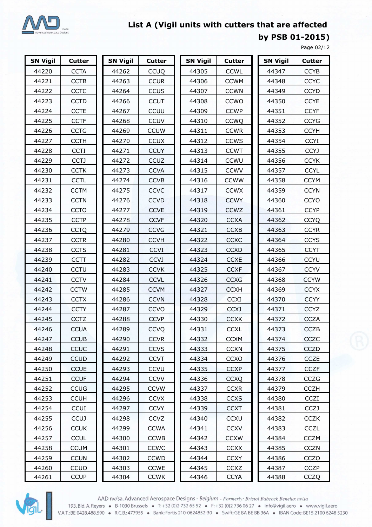

**by PSB 01-2015)**

Page 02/12

| <b>SN Vigil</b> | <b>Cutter</b> | <b>SN Vigil</b> | <b>Cutter</b> | <b>SN Vigil</b> | <b>Cutter</b> | <b>SN Vigil</b> | <b>Cutter</b> |
|-----------------|---------------|-----------------|---------------|-----------------|---------------|-----------------|---------------|
| 44220           | <b>CCTA</b>   | 44262           | <b>CCUQ</b>   | 44305           | <b>CCWL</b>   | 44347           | <b>CCYB</b>   |
| 44221           | <b>CCTB</b>   | 44263           | <b>CCUR</b>   | 44306           | <b>CCWM</b>   | 44348           | <b>CCYC</b>   |
| 44222           | <b>CCTC</b>   | 44264           | <b>CCUS</b>   | 44307           | <b>CCWN</b>   | 44349           | <b>CCYD</b>   |
| 44223           | <b>CCTD</b>   | 44266           | <b>CCUT</b>   | 44308           | CCWO          | 44350           | <b>CCYE</b>   |
| 44224           | <b>CCTE</b>   | 44267           | CCUU          | 44309           | <b>CCWP</b>   | 44351           | <b>CCYF</b>   |
| 44225           | <b>CCTF</b>   | 44268           | <b>CCUV</b>   | 44310           | <b>CCWQ</b>   | 44352           | <b>CCYG</b>   |
| 44226           | <b>CCTG</b>   | 44269           | <b>CCUW</b>   | 44311           | <b>CCWR</b>   | 44353           | <b>CCYH</b>   |
| 44227           | <b>CCTH</b>   | 44270           | <b>CCUX</b>   | 44312           | <b>CCWS</b>   | 44354           | <b>CCYI</b>   |
| 44228           | <b>CCTI</b>   | 44271           | <b>CCUY</b>   | 44313           | <b>CCWT</b>   | 44355           | <b>CCYJ</b>   |
| 44229           | <b>CCTJ</b>   | 44272           | CCUZ          | 44314           | CCWU          | 44356           | <b>CCYK</b>   |
| 44230           | <b>CCTK</b>   | 44273           | <b>CCVA</b>   | 44315           | <b>CCWV</b>   | 44357           | <b>CCYL</b>   |
| 44231           | <b>CCTL</b>   | 44274           | <b>CCVB</b>   | 44316           | <b>CCWW</b>   | 44358           | <b>CCYM</b>   |
| 44232           | <b>CCTM</b>   | 44275           | <b>CCVC</b>   | 44317           | <b>CCWX</b>   | 44359           | <b>CCYN</b>   |
| 44233           | <b>CCTN</b>   | 44276           | <b>CCVD</b>   | 44318           | <b>CCWY</b>   | 44360           | <b>CCYO</b>   |
| 44234           | <b>CCTO</b>   | 44277           | <b>CCVE</b>   | 44319           | CCWZ          | 44361           | <b>CCYP</b>   |
| 44235           | <b>CCTP</b>   | 44278           | <b>CCVF</b>   | 44320           | <b>CCXA</b>   | 44362           | <b>CCYQ</b>   |
| 44236           | <b>CCTQ</b>   | 44279           | <b>CCVG</b>   | 44321           | <b>CCXB</b>   | 44363           | <b>CCYR</b>   |
| 44237           | <b>CCTR</b>   | 44280           | <b>CCVH</b>   | 44322           | CCXC          | 44364           | <b>CCYS</b>   |
| 44238           | <b>CCTS</b>   | 44281           | <b>CCVI</b>   | 44323           | <b>CCXD</b>   | 44365           | <b>CCYT</b>   |
| 44239           | <b>CCTT</b>   | 44282           | <b>CCVJ</b>   | 44324           | <b>CCXE</b>   | 44366           | <b>CCYU</b>   |
| 44240           | CCTU          | 44283           | <b>CCVK</b>   | 44325           | <b>CCXF</b>   | 44367           | <b>CCYV</b>   |
| 44241           | <b>CCTV</b>   | 44284           | <b>CCVL</b>   | 44326           | <b>CCXG</b>   | 44368           | <b>CCYW</b>   |
| 44242           | <b>CCTW</b>   | 44285           | <b>CCVM</b>   | 44327           | <b>CCXH</b>   | 44369           | <b>CCYX</b>   |
| 44243           | <b>CCTX</b>   | 44286           | <b>CCVN</b>   | 44328           | <b>CCXI</b>   | 44370           | <b>CCYY</b>   |
| 44244           | <b>CCTY</b>   | 44287           | <b>CCVO</b>   | 44329           | <b>CCXJ</b>   | 44371           | <b>CCYZ</b>   |
| 44245           | <b>CCTZ</b>   | 44288           | <b>CCVP</b>   | 44330           | <b>CCXK</b>   | 44372           | <b>CCZA</b>   |
| 44246           | <b>CCUA</b>   | 44289           | <b>CCVQ</b>   | 44331           | <b>CCXL</b>   | 44373           | <b>CCZB</b>   |
| 44247           | <b>CCUB</b>   | 44290           | <b>CCVR</b>   | 44332           | <b>CCXM</b>   | 44374           | CCZC          |
| 44248           | CCUC          | 44291           | <b>CCVS</b>   | 44333           | <b>CCXN</b>   | 44375           | <b>CCZD</b>   |
| 44249           | <b>CCUD</b>   | 44292           | <b>CCVT</b>   | 44334           | CCXO          | 44376           | <b>CCZE</b>   |
| 44250           | <b>CCUE</b>   | 44293           | <b>CCVU</b>   | 44335           | <b>CCXP</b>   | 44377           | CCZF.         |
| 44251           | <b>CCUF</b>   | 44294           | <b>CCVV</b>   | 44336           | <b>CCXQ</b>   | 44378           | <b>CCZG</b>   |
| 44252           | <b>CCUG</b>   | 44295           | <b>CCVW</b>   | 44337           | <b>CCXR</b>   | 44379           | <b>CCZH</b>   |
| 44253           | <b>CCUH</b>   | 44296           | <b>CCVX</b>   | 44338           | <b>CCXS</b>   | 44380           | CCZI          |
| 44254           | <b>CCUI</b>   | 44297           | <b>CCVY</b>   | 44339           | <b>CCXT</b>   | 44381           | <b>CCZJ</b>   |
| 44255           | <b>CCUJ</b>   | 44298           | <b>CCVZ</b>   | 44340           | <b>CCXU</b>   | 44382           | <b>CCZK</b>   |
| 44256           | <b>CCUK</b>   | 44299           | <b>CCWA</b>   | 44341           | <b>CCXV</b>   | 44383           | <b>CCZL</b>   |
| 44257           | <b>CCUL</b>   | 44300           | <b>CCWB</b>   | 44342           | <b>CCXW</b>   | 44384           | <b>CCZM</b>   |
| 44258           | <b>CCUM</b>   | 44301           | <b>CCWC</b>   | 44343           | <b>CCXX</b>   | 44385           | <b>CCZN</b>   |
| 44259           | <b>CCUN</b>   | 44302           | <b>CCWD</b>   | 44344           | <b>CCXY</b>   | 44386           | CCZO          |
| 44260           | CCUO          | 44303           | <b>CCWE</b>   | 44345           | <b>CCXZ</b>   | 44387           | <b>CCZP</b>   |
| 44261           | <b>CCUP</b>   | 44304           | <b>CCWK</b>   | 44346           | <b>CCYA</b>   | 44388           | <b>CCZQ</b>   |



AAD nv/sa. Advanced Aerospace Designs - *Belgium - Formerly: Bristol Babcock Benelux nv/sa*<br>193, Bld. A. Reyers • B-1030 Brussels • T: +32 (0)2 732 65 52 • F: +32 (0)2 736 06 27 • info@vigil.aero • www.vigil.aero<br>193, Bld.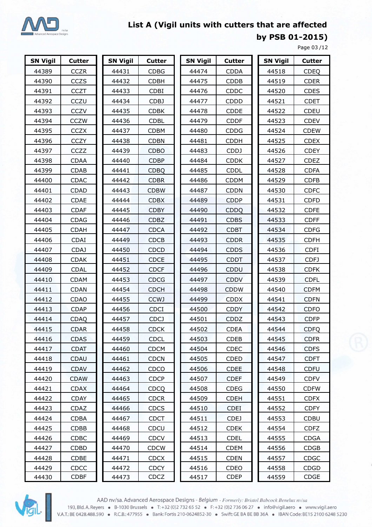

**by PSB 01-2015)** 

Page 03 /12

| <b>SN Vigil</b> | <b>Cutter</b> | <b>SN Vigil</b> | <b>Cutter</b> | <b>SN Vigil</b> | Cutter      | <b>SN Vigil</b> | <b>Cutter</b> |
|-----------------|---------------|-----------------|---------------|-----------------|-------------|-----------------|---------------|
| 44389           | <b>CCZR</b>   | 44431           | <b>CDBG</b>   | 44474           | <b>CDDA</b> | 44518           | <b>CDEQ</b>   |
| 44390           | CCZS          | 44432           | <b>CDBH</b>   | 44475           | <b>CDDB</b> | 44519           | <b>CDER</b>   |
| 44391           | <b>CCZT</b>   | 44433           | <b>CDBI</b>   | 44476           | CDDC        | 44520           | <b>CDES</b>   |
| 44392           | CCZU          | 44434           | <b>CDBJ</b>   | 44477           | CDDD        | 44521           | <b>CDET</b>   |
| 44393           | <b>CCZV</b>   | 44435           | <b>CDBK</b>   | 44478           | <b>CDDE</b> | 44522           | CDEU          |
| 44394           | <b>CCZW</b>   | 44436           | <b>CDBL</b>   | 44479           | <b>CDDF</b> | 44523           | <b>CDEV</b>   |
| 44395           | <b>CCZX</b>   | 44437           | <b>CDBM</b>   | 44480           | <b>CDDG</b> | 44524           | <b>CDEW</b>   |
| 44396           | <b>CCZY</b>   | 44438           | <b>CDBN</b>   | 44481           | <b>CDDH</b> | 44525           | <b>CDEX</b>   |
| 44397           | CCZZ          | 44439           | CDBO          | 44483           | <b>CDDJ</b> | 44526           | <b>CDEY</b>   |
| 44398           | <b>CDAA</b>   | 44440           | <b>CDBP</b>   | 44484           | <b>CDDK</b> | 44527           | <b>CDEZ</b>   |
| 44399           | <b>CDAB</b>   | 44441           | <b>CDBQ</b>   | 44485           | <b>CDDL</b> | 44528           | <b>CDFA</b>   |
| 44400           | <b>CDAC</b>   | 44442           | <b>CDBR</b>   | 44486           | CDDM        | 44529           | <b>CDFB</b>   |
| 44401           | <b>CDAD</b>   | 44443           | <b>CDBW</b>   | 44487           | <b>CDDN</b> | 44530           | <b>CDFC</b>   |
| 44402           | <b>CDAE</b>   | 44444           | <b>CDBX</b>   | 44489           | <b>CDDP</b> | 44531           | <b>CDFD</b>   |
| 44403           | <b>CDAF</b>   | 44445           | <b>CDBY</b>   | 44490           | CDDQ        | 44532           | <b>CDFE</b>   |
| 44404           | <b>CDAG</b>   | 44446           | <b>CDBZ</b>   | 44491           | <b>CDBS</b> | 44533           | <b>CDFF</b>   |
| 44405           | <b>CDAH</b>   | 44447           | <b>CDCA</b>   | 44492           | <b>CDBT</b> | 44534           | <b>CDFG</b>   |
| 44406           | <b>CDAI</b>   | 44449           | <b>CDCB</b>   | 44493           | <b>CDDR</b> | 44535           | <b>CDFH</b>   |
| 44407           | <b>CDAJ</b>   | 44450           | <b>CDCD</b>   | 44494           | <b>CDDS</b> | 44536           | <b>CDFI</b>   |
| 44408           | <b>CDAK</b>   | 44451           | <b>CDCE</b>   | 44495           | <b>CDDT</b> | 44537           | CDFJ          |
| 44409           | <b>CDAL</b>   | 44452           | <b>CDCF</b>   | 44496           | CDDU        | 44538           | <b>CDFK</b>   |
| 44410           | <b>CDAM</b>   | 44453           | <b>CDCG</b>   | 44497           | <b>CDDV</b> | 44539           | <b>CDFL</b>   |
| 44411           | <b>CDAN</b>   | 44454           | <b>CDCH</b>   | 44498           | <b>CDDW</b> | 44540           | <b>CDFM</b>   |
| 44412           | <b>CDAO</b>   | 44455           | <b>CCWJ</b>   | 44499           | <b>CDDX</b> | 44541           | <b>CDFN</b>   |
| 44413           | <b>CDAP</b>   | 44456           | <b>CDCI</b>   | 44500           | <b>CDDY</b> | 44542           | <b>CDFO</b>   |
| 44414           | <b>CDAQ</b>   | 44457           | <b>CDCJ</b>   | 44501           | CDDZ        | 44543           | <b>CDFP</b>   |
| 44415           | <b>CDAR</b>   | 44458           | <b>CDCK</b>   | 44502           | <b>CDEA</b> | 44544           | <b>CDFQ</b>   |
| 44416           | <b>CDAS</b>   | 44459           | <b>CDCL</b>   | 44503           | <b>CDEB</b> | 44545           | <b>CDFR</b>   |
| 44417           | <b>CDAT</b>   | 44460           | <b>CDCM</b>   | 44504           | <b>CDEC</b> | 44546           | <b>CDFS</b>   |
| 44418           | <b>CDAU</b>   | 44461           | <b>CDCN</b>   | 44505           | <b>CDED</b> | 44547           | <b>CDFT</b>   |
| 44419           | <b>CDAV</b>   | 44462           | CDCO          | 44506           | <b>CDEE</b> | 44548           | <b>CDFU</b>   |
| 44420           | <b>CDAW</b>   | 44463           | <b>CDCP</b>   | 44507           | <b>CDEF</b> | 44549           | <b>CDFV</b>   |
| 44421           | <b>CDAX</b>   | 44464           | <b>CDCQ</b>   | 44508           | <b>CDEG</b> | 44550           | <b>CDFW</b>   |
| 44422           | <b>CDAY</b>   | 44465           | <b>CDCR</b>   | 44509           | <b>CDEH</b> | 44551           | <b>CDFX</b>   |
| 44423           | CDAZ          | 44466           | <b>CDCS</b>   | 44510           | <b>CDEI</b> | 44552           | <b>CDFY</b>   |
| 44424           | <b>CDBA</b>   | 44467           | <b>CDCT</b>   | 44511           | <b>CDEJ</b> | 44553           | <b>CDBU</b>   |
| 44425           | CDBB          | 44468           | CDCU          | 44512           | <b>CDEK</b> | 44554           | <b>CDFZ</b>   |
| 44426           | CDBC          | 44469           | <b>CDCV</b>   | 44513           | <b>CDEL</b> | 44555           | <b>CDGA</b>   |
| 44427           | <b>CDBD</b>   | 44470           | <b>CDCW</b>   | 44514           | <b>CDEM</b> | 44556           | <b>CDGB</b>   |
| 44428           | <b>CDBE</b>   | 44471           | <b>CDCX</b>   | 44515           | <b>CDEN</b> | 44557           | <b>CDGC</b>   |
| 44429           | CDCC          | 44472           | <b>CDCY</b>   | 44516           | CDEO        | 44558           | CDGD          |
| 44430           | <b>CDBF</b>   | 44473           | CDCZ          | 44517           | <b>CDEP</b> | 44559           | CDGE          |

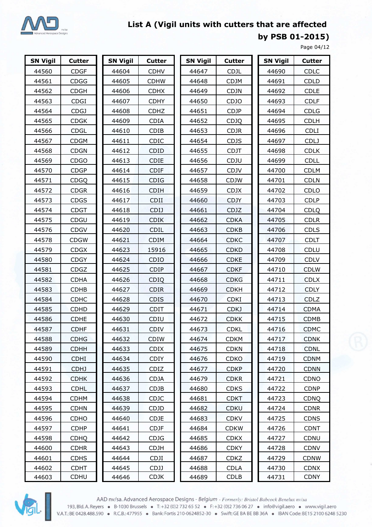

**by PSB 01-2015)**

Page 04/12

| <b>SN Vigil</b> | <b>Cutter</b> | <b>SN Vigil</b> | <b>Cutter</b> | <b>SN Vigil</b> | <b>Cutter</b> | <b>SN Vigil</b> | <b>Cutter</b> |
|-----------------|---------------|-----------------|---------------|-----------------|---------------|-----------------|---------------|
| 44560           | <b>CDGF</b>   | 44604           | <b>CDHV</b>   | 44647           | <b>CDJL</b>   | 44690           | <b>CDLC</b>   |
| 44561           | <b>CDGG</b>   | 44605           | <b>CDHW</b>   | 44648           | <b>CDJM</b>   | 44691           | <b>CDLD</b>   |
| 44562           | <b>CDGH</b>   | 44606           | <b>CDHX</b>   | 44649           | <b>CDJN</b>   | 44692           | <b>CDLE</b>   |
| 44563           | <b>CDGI</b>   | 44607           | <b>CDHY</b>   | 44650           | CDJO          | 44693           | <b>CDLF</b>   |
| 44564           | <b>CDGJ</b>   | 44608           | <b>CDHZ</b>   | 44651           | <b>CDJP</b>   | 44694           | <b>CDLG</b>   |
| 44565           | <b>CDGK</b>   | 44609           | <b>CDIA</b>   | 44652           | <b>CDJQ</b>   | 44695           | <b>CDLH</b>   |
| 44566           | <b>CDGL</b>   | 44610           | CDIB          | 44653           | <b>CDJR</b>   | 44696           | <b>CDLI</b>   |
| 44567           | <b>CDGM</b>   | 44611           | CDIC          | 44654           | <b>CDJS</b>   | 44697           | <b>CDLJ</b>   |
| 44568           | <b>CDGN</b>   | 44612           | CDID          | 44655           | <b>CDJT</b>   | 44698           | <b>CDLK</b>   |
| 44569           | <b>CDGO</b>   | 44613           | <b>CDIE</b>   | 44656           | CDJU          | 44699           | <b>CDLL</b>   |
| 44570           | <b>CDGP</b>   | 44614           | <b>CDIF</b>   | 44657           | CDJV          | 44700           | <b>CDLM</b>   |
| 44571           | <b>CDGQ</b>   | 44615           | <b>CDIG</b>   | 44658           | <b>CDJW</b>   | 44701           | <b>CDLN</b>   |
| 44572           | <b>CDGR</b>   | 44616           | <b>CDIH</b>   | 44659           | <b>CDJX</b>   | 44702           | CDLO          |
| 44573           | <b>CDGS</b>   | 44617           | CDII          | 44660           | <b>CDJY</b>   | 44703           | <b>CDLP</b>   |
| 44574           | <b>CDGT</b>   | 44618           | <b>CDIJ</b>   | 44661           | CDJZ          | 44704           | <b>CDLQ</b>   |
| 44575           | CDGU          | 44619           | <b>CDIK</b>   | 44662           | <b>CDKA</b>   | 44705           | <b>CDLR</b>   |
| 44576           | <b>CDGV</b>   | 44620           | CDIL          | 44663           | <b>CDKB</b>   | 44706           | <b>CDLS</b>   |
| 44578           | <b>CDGW</b>   | 44621           | <b>CDIM</b>   | 44664           | <b>CDKC</b>   | 44707           | <b>CDLT</b>   |
| 44579           | <b>CDGX</b>   | 44623           | 15916         | 44665           | <b>CDKD</b>   | 44708           | CDLU          |
| 44580           | <b>CDGY</b>   | 44624           | <b>CDIO</b>   | 44666           | <b>CDKE</b>   | 44709           | <b>CDLV</b>   |
| 44581           | <b>CDGZ</b>   | 44625           | <b>CDIP</b>   | 44667           | <b>CDKF</b>   | 44710           | <b>CDLW</b>   |
| 44582           | <b>CDHA</b>   | 44626           | CDIQ          | 44668           | <b>CDKG</b>   | 44711           | <b>CDLX</b>   |
| 44583           | <b>CDHB</b>   | 44627           | <b>CDIR</b>   | 44669           | <b>CDKH</b>   | 44712           | <b>CDLY</b>   |
| 44584           | <b>CDHC</b>   | 44628           | <b>CDIS</b>   | 44670           | <b>CDKI</b>   | 44713           | <b>CDLZ</b>   |
| 44585           | <b>CDHD</b>   | 44629           | <b>CDIT</b>   | 44671           | <b>CDKJ</b>   | 44714           | <b>CDMA</b>   |
| 44586           | <b>CDHE</b>   | 44630           | CDIU          | 44672           | <b>CDKK</b>   | 44715           | CDMB          |
| 44587           | <b>CDHF</b>   | 44631           | <b>CDIV</b>   | 44673           | <b>CDKL</b>   | 44716           | <b>CDMC</b>   |
| 44588           | <b>CDHG</b>   | 44632           | <b>CDIW</b>   | 44674           | <b>CDKM</b>   | 44717           | <b>CDNK</b>   |
| 44589           | <b>CDHH</b>   | 44633           | <b>CDIX</b>   | 44675           | <b>CDKN</b>   | 44718           | <b>CDNL</b>   |
| 44590           | <b>CDHI</b>   | 44634           | CDIY          | 44676           | <b>CDKO</b>   | 44719           | <b>CDNM</b>   |
| 44591           | <b>CDHJ</b>   | 44635           | CDIZ          | 44677           | <b>CDKP</b>   | 44720           | <b>CDNN</b>   |
| 44592           | <b>CDHK</b>   | 44636           | <b>CDJA</b>   | 44679           | <b>CDKR</b>   | 44721           | <b>CDNO</b>   |
| 44593           | <b>CDHL</b>   | 44637           | <b>CDJB</b>   | 44680           | <b>CDKS</b>   | 44722           | <b>CDNP</b>   |
| 44594           | <b>CDHM</b>   | 44638           | <b>CDJC</b>   | 44681           | <b>CDKT</b>   | 44723           | <b>CDNQ</b>   |
| 44595           | <b>CDHN</b>   | 44639           | <b>CDJD</b>   | 44682           | <b>CDKU</b>   | 44724           | <b>CDNR</b>   |
| 44596           | <b>CDHO</b>   | 44640           | CDJE          | 44683           | <b>CDKV</b>   | 44725           | <b>CDNS</b>   |
| 44597           | <b>CDHP</b>   | 44641           | <b>CDJF</b>   | 44684           | <b>CDKW</b>   | 44726           | <b>CDNT</b>   |
| 44598           | <b>CDHQ</b>   | 44642           | <b>CDJG</b>   | 44685           | <b>CDKX</b>   | 44727           | CDNU          |
| 44600           | <b>CDHR</b>   | 44643           | <b>CDJH</b>   | 44686           | <b>CDKY</b>   | 44728           | <b>CDNV</b>   |
| 44601           | <b>CDHS</b>   | 44644           | <b>CDJI</b>   | 44687           | <b>CDKZ</b>   | 44729           | <b>CDNW</b>   |
| 44602           | <b>CDHT</b>   | 44645           | <b>CDJJ</b>   | 44688           | <b>CDLA</b>   | 44730           | <b>CDNX</b>   |
| 44603           | <b>CDHU</b>   | 44646           | <b>CDJK</b>   | 44689           | <b>CDLB</b>   | 44731           | <b>CDNY</b>   |



AAD nv/sa. Advanced Aerospace Designs - Belgium - Formerly: Bristol Babcock Benelux nv/sa 193, Bld. A. Reyers • B-1030 Brussels • T: +32 (0)2 732 65 52 • F: +32 (0)2 736 06 27 • info@vigil.aero • www.vigil.aero<br>V.A.T.: BE 0428.488.590 • R.C.B.: 477955 • Bank: Fortis 210-0624852-30 • Swift: GE BA BE BB 36A • IBA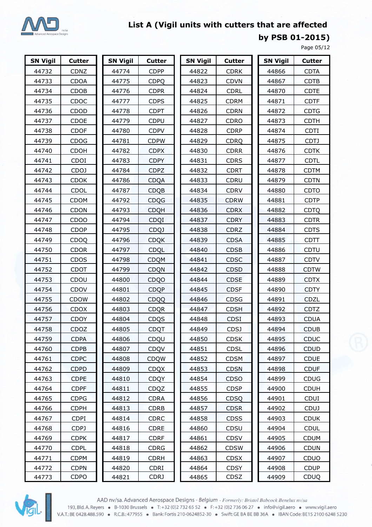

**by PSB 01-2015)**

Page 05/12

| <b>SN Vigil</b> | <b>Cutter</b>     | <b>SN Vigil</b> | <b>Cutter</b> | <b>SN Vigil</b> | Cutter      | <b>SN Vigil</b> | <b>Cutter</b> |
|-----------------|-------------------|-----------------|---------------|-----------------|-------------|-----------------|---------------|
| 44732           | CDNZ              | 44774           | <b>CDPP</b>   | 44822           | <b>CDRK</b> | 44866           | <b>CDTA</b>   |
| 44733           | <b>CDOA</b>       | 44775           | <b>CDPQ</b>   | 44823           | <b>CDVN</b> | 44867           | <b>CDTB</b>   |
| 44734           | CDOB              | 44776           | <b>CDPR</b>   | 44824           | <b>CDRL</b> | 44870           | <b>CDTE</b>   |
| 44735           | CDOC              | 44777           | <b>CDPS</b>   | 44825           | <b>CDRM</b> | 44871           | <b>CDTF</b>   |
| 44736           | CDOD              | 44778           | <b>CDPT</b>   | 44826           | <b>CDRN</b> | 44872           | <b>CDTG</b>   |
| 44737           | CDOE              | 44779           | <b>CDPU</b>   | 44827           | <b>CDRO</b> | 44873           | <b>CDTH</b>   |
| 44738           | <b>CDOF</b>       | 44780           | <b>CDPV</b>   | 44828           | <b>CDRP</b> | 44874           | <b>CDTI</b>   |
| 44739           | <b>CDOG</b>       | 44781           | <b>CDPW</b>   | 44829           | <b>CDRQ</b> | 44875           | CDTJ          |
| 44740           | CDOH              | 44782           | <b>CDPX</b>   | 44830           | <b>CDRR</b> | 44876           | <b>CDTK</b>   |
| 44741           | CDOI              | 44783           | <b>CDPY</b>   | 44831           | <b>CDRS</b> | 44877           | <b>CDTL</b>   |
| 44742           | CDOJ              | 44784           | <b>CDPZ</b>   | 44832           | <b>CDRT</b> | 44878           | <b>CDTM</b>   |
| 44743           | <b>CDOK</b>       | 44786           | <b>CDQA</b>   | 44833           | CDRU        | 44879           | <b>CDTN</b>   |
| 44744           | CDOL              | 44787           | <b>CDQB</b>   | 44834           | <b>CDRV</b> | 44880           | <b>CDTO</b>   |
| 44745           | <b>CDOM</b>       | 44792           | <b>CDQG</b>   | 44835           | <b>CDRW</b> | 44881           | <b>CDTP</b>   |
| 44746           | <b>CDON</b>       | 44793           | <b>CDQH</b>   | 44836           | <b>CDRX</b> | 44882           | <b>CDTQ</b>   |
| 44747           | CD <sub>O</sub> O | 44794           | CDQI          | 44837           | <b>CDRY</b> | 44883           | <b>CDTR</b>   |
| 44748           | <b>CDOP</b>       | 44795           | <b>CDQJ</b>   | 44838           | <b>CDRZ</b> | 44884           | <b>CDTS</b>   |
| 44749           | CDOQ              | 44796           | <b>CDQK</b>   | 44839           | <b>CDSA</b> | 44885           | <b>CDTT</b>   |
| 44750           | <b>CDOR</b>       | 44797           | CDQL          | 44840           | <b>CDSB</b> | 44886           | CDTU          |
| 44751           | <b>CDOS</b>       | 44798           | <b>CDQM</b>   | 44841           | <b>CDSC</b> | 44887           | <b>CDTV</b>   |
| 44752           | CDOT              | 44799           | <b>CDQN</b>   | 44842           | <b>CDSD</b> | 44888           | <b>CDTW</b>   |
| 44753           | CDOU              | 44800           | <b>CDQO</b>   | 44844           | <b>CDSE</b> | 44889           | <b>CDTX</b>   |
| 44754           | CDOV              | 44801           | <b>CDQP</b>   | 44845           | <b>CDSF</b> | 44890           | <b>CDTY</b>   |
| 44755           | <b>CDOW</b>       | 44802           | CDQQ          | 44846           | CDSG        | 44891           | CDZL          |
| 44756           | <b>CDOX</b>       | 44803           | <b>CDQR</b>   | 44847           | <b>CDSH</b> | 44892           | <b>CDTZ</b>   |
| 44757           | CDOY              | 44804           | CDQS          | 44848           | <b>CDSI</b> | 44893           | <b>CDUA</b>   |
| 44758           | CDOZ              | 44805           | <b>CDQT</b>   | 44849           | <b>CDSJ</b> | 44894           | <b>CDUB</b>   |
| 44759           | <b>CDPA</b>       | 44806           | CDQU          | 44850           | <b>CDSK</b> | 44895           | <b>CDUC</b>   |
| 44760           | <b>CDPB</b>       | 44807           | CDQV          | 44851           | <b>CDSL</b> | 44896           | <b>CDUD</b>   |
| 44761           | <b>CDPC</b>       | 44808           | <b>CDQW</b>   | 44852           | <b>CDSM</b> | 44897           | <b>CDUE</b>   |
| 44762           | <b>CDPD</b>       | 44809           | <b>CDQX</b>   | 44853           | <b>CDSN</b> | 44898           | <b>CDUF</b>   |
| 44763           | <b>CDPE</b>       | 44810           | <b>CDQY</b>   | 44854           | <b>CDSO</b> | 44899           | <b>CDUG</b>   |
| 44764           | <b>CDPF</b>       | 44811           | CDQZ          | 44855           | <b>CDSP</b> | 44900           | <b>CDUH</b>   |
| 44765           | <b>CDPG</b>       | 44812           | <b>CDRA</b>   | 44856           | CDSQ        | 44901           | <b>CDUI</b>   |
| 44766           | <b>CDPH</b>       | 44813           | <b>CDRB</b>   | 44857           | <b>CDSR</b> | 44902           | <b>CDUJ</b>   |
| 44767           | CDPI.             | 44814           | <b>CDRC</b>   | 44858           | <b>CDSS</b> | 44903           | <b>CDUK</b>   |
| 44768           | CDPJ              | 44816           | CDRE          | 44860           | CDSU        | 44904           | <b>CDUL</b>   |
| 44769           | <b>CDPK</b>       | 44817           | <b>CDRF</b>   | 44861           | <b>CDSV</b> | 44905           | <b>CDUM</b>   |
| 44770           | <b>CDPL</b>       | 44818           | <b>CDRG</b>   | 44862           | <b>CDSW</b> | 44906           | <b>CDUN</b>   |
| 44771           | <b>CDPM</b>       | 44819           | <b>CDRH</b>   | 44863           | <b>CDSX</b> | 44907           | CDUO          |
| 44772           | <b>CDPN</b>       | 44820           | <b>CDRI</b>   | 44864           | <b>CDSY</b> | 44908           | <b>CDUP</b>   |
| 44773           | CDPO              | 44821           | <b>CDRJ</b>   | 44865           | CDSZ        | 44909           | <b>CDUQ</b>   |



AAD nv/sa. Advanced Aerospace Designs - Belgium - Formerly: Bristol Babcock Benelux nv/sa 193, Bld. A. Reyers • B-1030 Brussels • T: +32 (0) 2732 65 52 • F: +32 (0) 2736 06 27 • info@vigil.aero • www.vigil.aero<br>V.A.T.: BE 0428.488.590 • R.C.B.: 477955 • Bank: Fortis 210-0624852-30 • Swift: GE BA BE BB 36A • IBA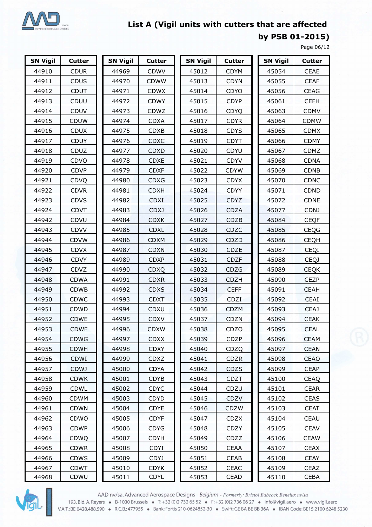

**by PSB 01-2015)**

Page 06/12

| <b>SN Vigil</b> | <b>Cutter</b> | <b>SN Vigil</b> | <b>Cutter</b> | <b>SN Vigil</b> | <b>Cutter</b> | <b>SN Vigil</b> | <b>Cutter</b> |
|-----------------|---------------|-----------------|---------------|-----------------|---------------|-----------------|---------------|
| 44910           | <b>CDUR</b>   | 44969           | <b>CDWV</b>   | 45012           | <b>CDYM</b>   | 45054           | <b>CEAE</b>   |
| 44911           | <b>CDUS</b>   | 44970           | <b>CDWW</b>   | 45013           | <b>CDYN</b>   | 45055           | <b>CEAF</b>   |
| 44912           | <b>CDUT</b>   | 44971           | <b>CDWX</b>   | 45014           | CDYO          | 45056           | CEAG          |
| 44913           | CDUU          | 44972           | <b>CDWY</b>   | 45015           | <b>CDYP</b>   | 45061           | <b>CEFH</b>   |
| 44914           | <b>CDUV</b>   | 44973           | CDWZ          | 45016           | <b>CDYQ</b>   | 45063           | <b>CDMV</b>   |
| 44915           | <b>CDUW</b>   | 44974           | <b>CDXA</b>   | 45017           | <b>CDYR</b>   | 45064           | <b>CDMW</b>   |
| 44916           | <b>CDUX</b>   | 44975           | CDXB          | 45018           | <b>CDYS</b>   | 45065           | <b>CDMX</b>   |
| 44917           | <b>CDUY</b>   | 44976           | <b>CDXC</b>   | 45019           | <b>CDYT</b>   | 45066           | <b>CDMY</b>   |
| 44918           | CDUZ          | 44977           | <b>CDXD</b>   | 45020           | CDYU          | 45067           | CDMZ          |
| 44919           | CDVO          | 44978           | <b>CDXE</b>   | 45021           | <b>CDYV</b>   | 45068           | <b>CDNA</b>   |
| 44920           | <b>CDVP</b>   | 44979           | <b>CDXF</b>   | 45022           | <b>CDYW</b>   | 45069           | <b>CDNB</b>   |
| 44921           | CDVQ          | 44980           | <b>CDXG</b>   | 45023           | <b>CDYX</b>   | 45070           | <b>CDNC</b>   |
| 44922           | <b>CDVR</b>   | 44981           | <b>CDXH</b>   | 45024           | <b>CDYY</b>   | 45071           | CDND          |
| 44923           | <b>CDVS</b>   | 44982           | <b>CDXI</b>   | 45025           | <b>CDYZ</b>   | 45072           | CDNE          |
| 44924           | <b>CDVT</b>   | 44983           | <b>CDXJ</b>   | 45026           | <b>CDZA</b>   | 45077           | <b>CDNJ</b>   |
| 44942           | <b>CDVU</b>   | 44984           | <b>CDXK</b>   | 45027           | CDZB          | 45084           | <b>CEQF</b>   |
| 44943           | <b>CDVV</b>   | 44985           | <b>CDXL</b>   | 45028           | CDZC          | 45085           | <b>CEQG</b>   |
| 44944           | <b>CDVW</b>   | 44986           | <b>CDXM</b>   | 45029           | CDZD          | 45086           | <b>CEQH</b>   |
| 44945           | <b>CDVX</b>   | 44987           | <b>CDXN</b>   | 45030           | CDZE          | 45087           | CEQI          |
| 44946           | <b>CDVY</b>   | 44989           | <b>CDXP</b>   | 45031           | <b>CDZF</b>   | 45088           | <b>CEQJ</b>   |
| 44947           | CDVZ          | 44990           | <b>CDXQ</b>   | 45032           | CDZG          | 45089           | <b>CEQK</b>   |
| 44948           | <b>CDWA</b>   | 44991           | <b>CDXR</b>   | 45033           | <b>CDZH</b>   | 45090           | <b>CEZP</b>   |
| 44949           | <b>CDWB</b>   | 44992           | <b>CDXS</b>   | 45034           | <b>CEFF</b>   | 45091           | <b>CEAH</b>   |
| 44950           | CDWC          | 44993           | <b>CDXT</b>   | 45035           | CDZI          | 45092           | CEAI          |
| 44951           | <b>CDWD</b>   | 44994           | <b>CDXU</b>   | 45036           | <b>CDZM</b>   | 45093           | <b>CEAJ</b>   |
| 44952           | <b>CDWE</b>   | 44995           | <b>CDXV</b>   | 45037           | <b>CDZN</b>   | 45094           | <b>CEAK</b>   |
| 44953           | <b>CDWF</b>   | 44996           | <b>CDXW</b>   | 45038           | <b>CDZO</b>   | 45095           | <b>CEAL</b>   |
| 44954           | <b>CDWG</b>   | 44997           | <b>CDXX</b>   | 45039           | <b>CDZP</b>   | 45096           | <b>CEAM</b>   |
| 44955           | <b>CDWH</b>   | 44998           | <b>CDXY</b>   | 45040           | CDZQ          | 45097           | <b>CEAN</b>   |
| 44956           | <b>CDWI</b>   | 44999           | <b>CDXZ</b>   | 45041           | <b>CDZR</b>   | 45098           | <b>CEAO</b>   |
| 44957           | <b>CDWJ</b>   | 45000           | <b>CDYA</b>   | 45042           | CDZS          | 45099           | <b>CEAP</b>   |
| 44958           | <b>CDWK</b>   | 45001           | <b>CDYB</b>   | 45043           | <b>CDZT</b>   | 45100           | <b>CEAQ</b>   |
| 44959           | <b>CDWL</b>   | 45002           | <b>CDYC</b>   | 45044           | CDZU          | 45101           | <b>CEAR</b>   |
| 44960           | <b>CDWM</b>   | 45003           | <b>CDYD</b>   | 45045           | <b>CDZV</b>   | 45102           | CEAS          |
| 44961           | <b>CDWN</b>   | 45004           | <b>CDYE</b>   | 45046           | <b>CDZW</b>   | 45103           | <b>CEAT</b>   |
| 44962           | CDWO          | 45005           | <b>CDYF</b>   | 45047           | <b>CDZX</b>   | 45104           | <b>CEAU</b>   |
| 44963           | <b>CDWP</b>   | 45006           | <b>CDYG</b>   | 45048           | <b>CDZY</b>   | 45105           | <b>CEAV</b>   |
| 44964           | <b>CDWQ</b>   | 45007           | <b>CDYH</b>   | 45049           | CDZZ          | 45106           | <b>CEAW</b>   |
| 44965           | <b>CDWR</b>   | 45008           | <b>CDYI</b>   | 45050           | <b>CEAA</b>   | 45107           | <b>CEAX</b>   |
| 44966           | <b>CDWS</b>   | 45009           | <b>CDYJ</b>   | 45051           | <b>CEAB</b>   | 45108           | <b>CEAY</b>   |
| 44967           | <b>CDWT</b>   | 45010           | <b>CDYK</b>   | 45052           | <b>CEAC</b>   | 45109           | <b>CEAZ</b>   |
| 44968           | CDWU          | 45011           | <b>CDYL</b>   | 45053           | <b>CEAD</b>   | 45110           | <b>CEBA</b>   |



AAD nv/sa. Advanced Aerospace Designs - *Belgium - Formerly: Bristol Babcock Benelux nv/sa*<br>193, Bld. A. Reyers • B-1030 Brussels • T: +32 (0)2 732 65 52 • F: +32 (0)2 736 06 27 • info@vigil.aero • www.vigil.aero<br>193, Bld.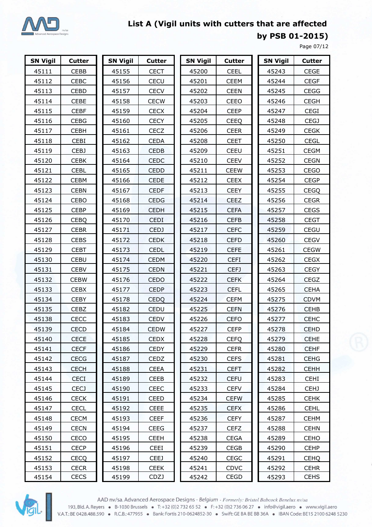

**by PSB 01-2015)**

Page 07/12

| <b>SN Vigil</b> | <b>Cutter</b> | <b>SN Vigil</b> | <b>Cutter</b> | <b>SN Vigil</b> | <b>Cutter</b> | <b>SN Vigil</b> | <b>Cutter</b> |
|-----------------|---------------|-----------------|---------------|-----------------|---------------|-----------------|---------------|
| 45111           | CEBB          | 45155           | <b>CECT</b>   | 45200           | <b>CEEL</b>   | 45243           | <b>CEGE</b>   |
| 45112           | <b>CEBC</b>   | 45156           | CECU          | 45201           | <b>CEEM</b>   | 45244           | <b>CEGF</b>   |
| 45113           | CEBD          | 45157           | <b>CECV</b>   | 45202           | <b>CEEN</b>   | 45245           | <b>CEGG</b>   |
| 45114           | <b>CEBE</b>   | 45158           | <b>CECW</b>   | 45203           | CEEO          | 45246           | <b>CEGH</b>   |
| 45115           | <b>CEBF</b>   | 45159           | <b>CECX</b>   | 45204           | <b>CEEP</b>   | 45247           | CEGI          |
| 45116           | <b>CEBG</b>   | 45160           | <b>CECY</b>   | 45205           | <b>CEEQ</b>   | 45248           | <b>CEGJ</b>   |
| 45117           | <b>CEBH</b>   | 45161           | CECZ          | 45206           | <b>CEER</b>   | 45249           | <b>CEGK</b>   |
| 45118           | CEBI          | 45162           | <b>CEDA</b>   | 45208           | <b>CEET</b>   | 45250           | <b>CEGL</b>   |
| 45119           | CEBJ          | 45163           | <b>CEDB</b>   | 45209           | CEEU          | 45251           | <b>CEGM</b>   |
| 45120           | <b>CEBK</b>   | 45164           | <b>CEDC</b>   | 45210           | <b>CEEV</b>   | 45252           | <b>CEGN</b>   |
| 45121           | <b>CEBL</b>   | 45165           | <b>CEDD</b>   | 45211           | <b>CEEW</b>   | 45253           | <b>CEGO</b>   |
| 45122           | <b>CEBM</b>   | 45166           | CEDE          | 45212           | <b>CEEX</b>   | 45254           | <b>CEGP</b>   |
| 45123           | <b>CEBN</b>   | 45167           | <b>CEDF</b>   | 45213           | <b>CEEY</b>   | 45255           | <b>CEGQ</b>   |
| 45124           | CEBO          | 45168           | <b>CEDG</b>   | 45214           | <b>CEEZ</b>   | 45256           | <b>CEGR</b>   |
| 45125           | <b>CEBP</b>   | 45169           | <b>CEDH</b>   | 45215           | <b>CEFA</b>   | 45257           | <b>CEGS</b>   |
| 45126           | <b>CEBQ</b>   | 45170           | <b>CEDI</b>   | 45216           | <b>CEFB</b>   | 45258           | <b>CEGT</b>   |
| 45127           | <b>CEBR</b>   | 45171           | <b>CEDJ</b>   | 45217           | <b>CEFC</b>   | 45259           | CEGU          |
| 45128           | <b>CEBS</b>   | 45172           | <b>CEDK</b>   | 45218           | <b>CEFD</b>   | 45260           | <b>CEGV</b>   |
| 45129           | <b>CEBT</b>   | 45173           | <b>CEDL</b>   | 45219           | <b>CEFE</b>   | 45261           | <b>CEGW</b>   |
| 45130           | <b>CEBU</b>   | 45174           | <b>CEDM</b>   | 45220           | <b>CEFI</b>   | 45262           | <b>CEGX</b>   |
| 45131           | <b>CEBV</b>   | 45175           | <b>CEDN</b>   | 45221           | <b>CEFJ</b>   | 45263           | <b>CEGY</b>   |
| 45132           | <b>CEBW</b>   | 45176           | CEDO          | 45222           | <b>CEFK</b>   | 45264           | CEGZ          |
| 45133           | <b>CEBX</b>   | 45177           | <b>CEDP</b>   | 45223           | <b>CEFL</b>   | 45265           | <b>CEHA</b>   |
| 45134           | <b>CEBY</b>   | 45178           | <b>CEDQ</b>   | 45224           | <b>CEFM</b>   | 45275           | <b>CDVM</b>   |
| 45135           | CEBZ          | 45182           | CEDU          | 45225           | <b>CEFN</b>   | 45276           | CEHB          |
| 45138           | CECC          | 45183           | <b>CEDV</b>   | 45226           | <b>CEFO</b>   | 45277           | <b>CEHC</b>   |
| 45139           | <b>CECD</b>   | 45184           | <b>CEDW</b>   | 45227           | <b>CEFP</b>   | 45278           | <b>CEHD</b>   |
| 45140           | <b>CECE</b>   | 45185           | <b>CEDX</b>   | 45228           | <b>CEFQ</b>   | 45279           | <b>CEHE</b>   |
| 45141           | <b>CECF</b>   | 45186           | <b>CEDY</b>   | 45229           | <b>CEFR</b>   | 45280           | <b>CEHF</b>   |
| 45142           | <b>CECG</b>   | 45187           | <b>CEDZ</b>   | 45230           | <b>CEFS</b>   | 45281           | <b>CEHG</b>   |
| 45143           | <b>CECH</b>   | 45188           | <b>CEEA</b>   | 45231           | <b>CEFT</b>   | 45282           | <b>CEHH</b>   |
| 45144           | <b>CECI</b>   | 45189           | CEEB          | 45232           | <b>CEFU</b>   | 45283           | <b>CEHI</b>   |
| 45145           | <b>CECJ</b>   | 45190           | <b>CEEC</b>   | 45233           | <b>CEFV</b>   | 45284           | <b>CEHJ</b>   |
| 45146           | <b>CECK</b>   | 45191           | <b>CEED</b>   | 45234           | <b>CEFW</b>   | 45285           | <b>CEHK</b>   |
| 45147           | <b>CECL</b>   | 45192           | <b>CEEE</b>   | 45235           | <b>CEFX</b>   | 45286           | <b>CEHL</b>   |
| 45148           | <b>CECM</b>   | 45193           | <b>CEEF</b>   | 45236           | <b>CEFY</b>   | 45287           | <b>CEHM</b>   |
| 45149           | <b>CECN</b>   | 45194           | <b>CEEG</b>   | 45237           | <b>CEFZ</b>   | 45288           | <b>CEHN</b>   |
| 45150           | CECO          | 45195           | <b>CEEH</b>   | 45238           | <b>CEGA</b>   | 45289           | <b>CEHO</b>   |
| 45151           | <b>CECP</b>   | 45196           | <b>CEEI</b>   | 45239           | CEGB          | 45290           | <b>CEHP</b>   |
| 45152           | <b>CECQ</b>   | 45197           | <b>CEEJ</b>   | 45240           | <b>CEGC</b>   | 45291           | <b>CEHQ</b>   |
| 45153           | <b>CECR</b>   | 45198           | <b>CEEK</b>   | 45241           | <b>CDVC</b>   | 45292           | <b>CEHR</b>   |
| 45154           | <b>CECS</b>   | 45199           | CDZJ          | 45242           | CEGD          | 45293           | <b>CEHS</b>   |



AAD nv/sa. Advanced Aerospace Designs - Belgium - Formerly: Bristol Babcock Benelux nv/sa 193, Bld. A. Reyers • B-1030 Brussels • T: +32 (0) 2 732 65 52 • F: +32 (0) 2 736 06 27 • info@vigil.aero • www.vigil.aero V.A.T.: BE 0428.488.590 · R.C.B.: 477955 · Bank: Fortis 210-0624852-30 · Swift: GE BA BE BB 36A · IBAN Code: BE15 2100 6248 5230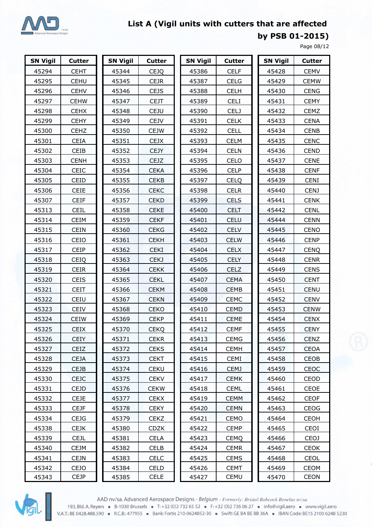

**by PSB 01-2015)**

Page 08/12

| <b>SN Vigil</b> | <b>Cutter</b> | <b>SN Vigil</b> | <b>Cutter</b> | <b>SN Vigil</b> | <b>Cutter</b> | <b>SN Vigil</b> | <b>Cutter</b> |
|-----------------|---------------|-----------------|---------------|-----------------|---------------|-----------------|---------------|
| 45294           | <b>CEHT</b>   | 45344           | <b>CEJQ</b>   | 45386           | <b>CELF</b>   | 45428           | <b>CEMV</b>   |
| 45295           | <b>CEHU</b>   | 45345           | <b>CEJR</b>   | 45387           | <b>CELG</b>   | 45429           | <b>CEMW</b>   |
| 45296           | <b>CEHV</b>   | 45346           | <b>CEJS</b>   | 45388           | <b>CELH</b>   | 45430           | <b>CENG</b>   |
| 45297           | <b>CEHW</b>   | 45347           | <b>CEJT</b>   | 45389           | <b>CELI</b>   | 45431           | <b>CEMY</b>   |
| 45298           | <b>CEHX</b>   | 45348           | <b>CEJU</b>   | 45390           | <b>CELJ</b>   | 45432           | <b>CEMZ</b>   |
| 45299           | <b>CEHY</b>   | 45349           | CEJV          | 45391           | <b>CELK</b>   | 45433           | <b>CENA</b>   |
| 45300           | <b>CEHZ</b>   | 45350           | <b>CEJW</b>   | 45392           | <b>CELL</b>   | 45434           | <b>CENB</b>   |
| 45301           | <b>CEIA</b>   | 45351           | <b>CEJX</b>   | 45393           | <b>CELM</b>   | 45435           | <b>CENC</b>   |
| 45302           | CEIB          | 45352           | <b>CEJY</b>   | 45394           | <b>CELN</b>   | 45436           | <b>CEND</b>   |
| 45303           | <b>CENH</b>   | 45353           | <b>CEJZ</b>   | 45395           | CELO          | 45437           | <b>CENE</b>   |
| 45304           | CEIC          | 45354           | <b>CEKA</b>   | 45396           | <b>CELP</b>   | 45438           | <b>CENF</b>   |
| 45305           | CEID          | 45355           | <b>CEKB</b>   | 45397           | <b>CELQ</b>   | 45439           | <b>CENI</b>   |
| 45306           | <b>CEIE</b>   | 45356           | <b>CEKC</b>   | 45398           | <b>CELR</b>   | 45440           | <b>CENJ</b>   |
| 45307           | <b>CEIF</b>   | 45357           | <b>CEKD</b>   | 45399           | <b>CELS</b>   | 45441           | <b>CENK</b>   |
| 45313           | <b>CEIL</b>   | 45358           | <b>CEKE</b>   | 45400           | <b>CELT</b>   | 45442           | <b>CENL</b>   |
| 45314           | <b>CEIM</b>   | 45359           | <b>CEKF</b>   | 45401           | CELU          | 45444           | <b>CENN</b>   |
| 45315           | <b>CEIN</b>   | 45360           | <b>CEKG</b>   | 45402           | <b>CELV</b>   | 45445           | CENO          |
| 45316           | CEIO          | 45361           | <b>CEKH</b>   | 45403           | <b>CELW</b>   | 45446           | <b>CENP</b>   |
| 45317           | CEIP          | 45362           | <b>CEKI</b>   | 45404           | <b>CELX</b>   | 45447           | <b>CENQ</b>   |
| 45318           | <b>CEIQ</b>   | 45363           | CEKJ          | 45405           | <b>CELY</b>   | 45448           | <b>CENR</b>   |
| 45319           | CEIR          | 45364           | <b>CEKK</b>   | 45406           | <b>CELZ</b>   | 45449           | <b>CENS</b>   |
| 45320           | CEIS          | 45365           | <b>CEKL</b>   | 45407           | <b>CEMA</b>   | 45450           | <b>CENT</b>   |
| 45321           | <b>CEIT</b>   | 45366           | <b>CEKM</b>   | 45408           | <b>CEMB</b>   | 45451           | <b>CENU</b>   |
| 45322           | CEIU          | 45367           | <b>CEKN</b>   | 45409           | <b>CEMC</b>   | 45452           | <b>CENV</b>   |
| 45323           | CEIV          | 45368           | CEKO          | 45410           | <b>CEMD</b>   | 45453           | <b>CENW</b>   |
| 45324           | <b>CEIW</b>   | 45369           | <b>CEKP</b>   | 45411           | <b>CEME</b>   | 45454           | <b>CENX</b>   |
| 45325           | <b>CEIX</b>   | 45370           | <b>CEKQ</b>   | 45412           | <b>CEMF</b>   | 45455           | <b>CENY</b>   |
| 45326           | <b>CEIY</b>   | 45371           | <b>CEKR</b>   | 45413           | <b>CEMG</b>   | 45456           | <b>CENZ</b>   |
| 45327           | <b>CEIZ</b>   | 45372           | <b>CEKS</b>   | 45414           | <b>CEMH</b>   | 45457           | <b>CEOA</b>   |
| 45328           | <b>CEJA</b>   | 45373           | <b>CEKT</b>   | 45415           | <b>CEMI</b>   | 45458           | CEOB          |
| 45329           | <b>CEJB</b>   | 45374           | <b>CEKU</b>   | 45416           | <b>CEMJ</b>   | 45459           | CEOC          |
| 45330           | <b>CEJC</b>   | 45375           | <b>CEKV</b>   | 45417           | <b>CEMK</b>   | 45460           | CEOD          |
| 45331           | <b>CEJD</b>   | 45376           | <b>CEKW</b>   | 45418           | <b>CEML</b>   | 45461           | CEOE          |
| 45332           | <b>CEJE</b>   | 45377           | <b>CEKX</b>   | 45419           | <b>CEMM</b>   | 45462           | <b>CEOF</b>   |
| 45333           | <b>CEJF</b>   | 45378           | <b>CEKY</b>   | 45420           | <b>CEMN</b>   | 45463           | <b>CEOG</b>   |
| 45334           | CEJG.         | 45379           | <b>CEKZ</b>   | 45421           | CEMO          | 45464           | <b>CEOH</b>   |
| 45338           | <b>CEJK</b>   | 45380           | <b>CDZK</b>   | 45422           | <b>CEMP</b>   | 45465           | CEOI          |
| 45339           | <b>CEJL</b>   | 45381           | <b>CELA</b>   | 45423           | <b>CEMQ</b>   | 45466           | CEOJ          |
| 45340           | <b>CEJM</b>   | 45382           | CELB          | 45424           | <b>CEMR</b>   | 45467           | <b>CEOK</b>   |
| 45341           | <b>CEJN</b>   | 45383           | <b>CELC</b>   | 45425           | <b>CEMS</b>   | 45468           | <b>CEOL</b>   |
| 45342           | <b>CEJO</b>   | 45384           | <b>CELD</b>   | 45426           | <b>CEMT</b>   | 45469           | CEOM          |
| 45343           | <b>CEJP</b>   | 45385           | <b>CELE</b>   | 45427           | <b>CEMU</b>   | 45470           | <b>CEON</b>   |



AAD nv/sa. Advanced Aerospace Designs - Belgium - Formerly: Bristol Babcock Benelux nv/sa 193, Bld. A. Reyers • B-1030 Brussels • T: +32 (0)2 732 65 52 • F: +32 (0)2 736 06 27 • info@vigil.aero • www.vigil.aero V.A.T.: BE 0428.488.590 · R.C.B.: 477955 · Bank: Fortis 210-0624852-30 · Swift: GE BA BE BB 36A · IBAN Code: BE15 2100 6248 5230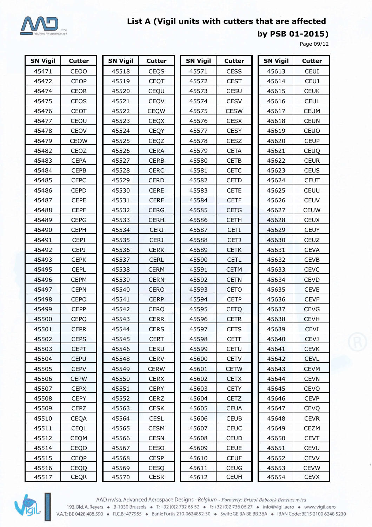

**by PSB 01-2015)**

Page 09/12

| <b>SN Vigil</b> | <b>Cutter</b> | <b>SN Vigil</b> | <b>Cutter</b> | <b>SN Vigil</b> | <b>Cutter</b> | <b>SN Vigil</b> | <b>Cutter</b> |
|-----------------|---------------|-----------------|---------------|-----------------|---------------|-----------------|---------------|
| 45471           | <b>CEOO</b>   | 45518           | <b>CEQS</b>   | 45571           | <b>CESS</b>   | 45613           | <b>CEUI</b>   |
| 45472           | <b>CEOP</b>   | 45519           | <b>CEQT</b>   | 45572           | <b>CEST</b>   | 45614           | <b>CEUJ</b>   |
| 45474           | <b>CEOR</b>   | 45520           | CEQU          | 45573           | CESU          | 45615           | <b>CEUK</b>   |
| 45475           | CEOS          | 45521           | CEQV          | 45574           | <b>CESV</b>   | 45616           | <b>CEUL</b>   |
| 45476           | CEOT          | 45522           | <b>CEQW</b>   | 45575           | <b>CESW</b>   | 45617           | <b>CEUM</b>   |
| 45477           | CEOU          | 45523           | <b>CEQX</b>   | 45576           | <b>CESX</b>   | 45618           | <b>CEUN</b>   |
| 45478           | CEOV          | 45524           | <b>CEQY</b>   | 45577           | <b>CESY</b>   | 45619           | CEUO          |
| 45479           | <b>CEOW</b>   | 45525           | <b>CEQZ</b>   | 45578           | <b>CESZ</b>   | 45620           | <b>CEUP</b>   |
| 45482           | CEOZ          | 45526           | <b>CERA</b>   | 45579           | <b>CETA</b>   | 45621           | <b>CEUQ</b>   |
| 45483           | <b>CEPA</b>   | 45527           | <b>CERB</b>   | 45580           | <b>CETB</b>   | 45622           | <b>CEUR</b>   |
| 45484           | <b>CEPB</b>   | 45528           | <b>CERC</b>   | 45581           | <b>CETC</b>   | 45623           | <b>CEUS</b>   |
| 45485           | <b>CEPC</b>   | 45529           | <b>CERD</b>   | 45582           | <b>CETD</b>   | 45624           | <b>CEUT</b>   |
| 45486           | <b>CEPD</b>   | 45530           | <b>CERE</b>   | 45583           | <b>CETE</b>   | 45625           | CEUU          |
| 45487           | <b>CEPE</b>   | 45531           | <b>CERF</b>   | 45584           | <b>CETF</b>   | 45626           | <b>CEUV</b>   |
| 45488           | <b>CEPF</b>   | 45532           | <b>CERG</b>   | 45585           | <b>CETG</b>   | 45627           | <b>CEUW</b>   |
| 45489           | <b>CEPG</b>   | 45533           | <b>CERH</b>   | 45586           | <b>CETH</b>   | 45628           | <b>CEUX</b>   |
| 45490           | <b>CEPH</b>   | 45534           | <b>CERI</b>   | 45587           | <b>CETI</b>   | 45629           | <b>CEUY</b>   |
| 45491           | <b>CEPI</b>   | 45535           | <b>CERJ</b>   | 45588           | <b>CETJ</b>   | 45630           | CEUZ          |
| 45492           | CEPJ          | 45536           | <b>CERK</b>   | 45589           | <b>CETK</b>   | 45631           | <b>CEVA</b>   |
| 45493           | <b>CEPK</b>   | 45537           | CERL          | 45590           | <b>CETL</b>   | 45632           | <b>CEVB</b>   |
| 45495           | <b>CEPL</b>   | 45538           | <b>CERM</b>   | 45591           | <b>CETM</b>   | 45633           | <b>CEVC</b>   |
| 45496           | <b>CEPM</b>   | 45539           | <b>CERN</b>   | 45592           | <b>CETN</b>   | 45634           | <b>CEVD</b>   |
| 45497           | <b>CEPN</b>   | 45540           | <b>CERO</b>   | 45593           | <b>CETO</b>   | 45635           | <b>CEVE</b>   |
| 45498           | <b>CEPO</b>   | 45541           | <b>CERP</b>   | 45594           | <b>CETP</b>   | 45636           | <b>CEVF</b>   |
| 45499           | <b>CEPP</b>   | 45542           | <b>CERQ</b>   | 45595           | <b>CETQ</b>   | 45637           | <b>CEVG</b>   |
| 45500           | <b>CEPQ</b>   | 45543           | <b>CERR</b>   | 45596           | <b>CETR</b>   | 45638           | <b>CEVH</b>   |
| 45501           | <b>CEPR</b>   | 45544           | <b>CERS</b>   | 45597           | <b>CETS</b>   | 45639           | <b>CEVI</b>   |
| 45502           | <b>CEPS</b>   | 45545           | <b>CERT</b>   | 45598           | <b>CETT</b>   | 45640           | <b>CEVJ</b>   |
| 45503           | <b>CEPT</b>   | 45546           | <b>CERU</b>   | 45599           | <b>CETU</b>   | 45641           | <b>CEVK</b>   |
| 45504           | <b>CEPU</b>   | 45548           | <b>CERV</b>   | 45600           | <b>CETV</b>   | 45642           | <b>CEVL</b>   |
| 45505           | <b>CEPV</b>   | 45549           | <b>CERW</b>   | 45601           | <b>CETW</b>   | 45643           | <b>CEVM</b>   |
| 45506           | <b>CEPW</b>   | 45550           | <b>CERX</b>   | 45602           | <b>CETX</b>   | 45644           | <b>CEVN</b>   |
| 45507           | <b>CEPX</b>   | 45551           | <b>CERY</b>   | 45603           | <b>CETY</b>   | 45645           | CEVO          |
| 45508           | <b>CEPY</b>   | 45552           | <b>CERZ</b>   | 45604           | <b>CETZ</b>   | 45646           | <b>CEVP</b>   |
| 45509           | <b>CEPZ</b>   | 45563           | <b>CESK</b>   | 45605           | <b>CEUA</b>   | 45647           | <b>CEVQ</b>   |
| 45510           | <b>CEQA</b>   | 45564           | <b>CESL</b>   | 45606           | <b>CEUB</b>   | 45648           | <b>CEVR</b>   |
| 45511           | <b>CEQL</b>   | 45565           | <b>CESM</b>   | 45607           | <b>CEUC</b>   | 45649           | CEZM          |
| 45512           | <b>CEQM</b>   | 45566           | <b>CESN</b>   | 45608           | <b>CEUD</b>   | 45650           | <b>CEVT</b>   |
| 45514           | CEQO          | 45567           | CESO          | 45609           | <b>CEUE</b>   | 45651           | <b>CEVU</b>   |
| 45515           | <b>CEQP</b>   | 45568           | <b>CESP</b>   | 45610           | <b>CEUF</b>   | 45652           | <b>CEVV</b>   |
| 45516           | <b>CEQQ</b>   | 45569           | <b>CESQ</b>   | 45611           | <b>CEUG</b>   | 45653           | <b>CEVW</b>   |
| 45517           | <b>CEQR</b>   | 45570           | <b>CESR</b>   | 45612           | <b>CEUH</b>   | 45654           | <b>CEVX</b>   |



AAD nv/sa. Advanced Aerospace Designs - Belgium - Formerly: Bristol Babcock Benelux nv/sa 193, Bld. A. Reyers • B-1030 Brussels • T: +32 (0) 2732 65 52 • F: +32 (0) 2736 06 27 • info@vigil.aero • www.vigil.aero<br>V.A.T.: BE 0428.488.590 • R.C.B.: 477955 • Bank: Fortis 210-0624852-30 • Swift: GE BA BE BB 36A • IBA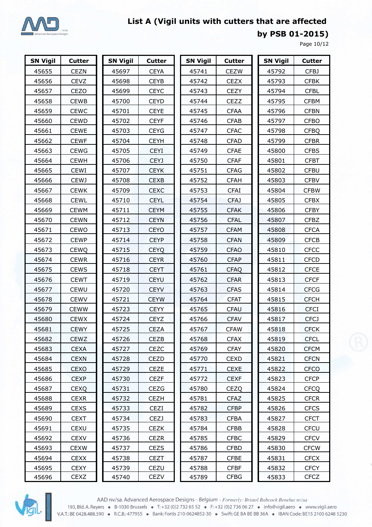

**by PSB 01-2015)**

Page 10/12

| <b>SN Vigil</b> | <b>Cutter</b> | <b>SN Vigil</b> | <b>Cutter</b> | <b>SN Vigil</b> | <b>Cutter</b> | <b>SN Vigil</b> | <b>Cutter</b> |
|-----------------|---------------|-----------------|---------------|-----------------|---------------|-----------------|---------------|
| 45655           | <b>CEZN</b>   | 45697           | <b>CEYA</b>   | 45741           | <b>CEZW</b>   | 45792           | CFBJ          |
| 45656           | <b>CEVZ</b>   | 45698           | <b>CEYB</b>   | 45742           | <b>CEZX</b>   | 45793           | <b>CFBK</b>   |
| 45657           | CEZO          | 45699           | <b>CEYC</b>   | 45743           | <b>CEZY</b>   | 45794           | <b>CFBL</b>   |
| 45658           | <b>CEWB</b>   | 45700           | <b>CEYD</b>   | 45744           | CEZZ          | 45795           | <b>CFBM</b>   |
| 45659           | <b>CEWC</b>   | 45701           | <b>CEYE</b>   | 45745           | <b>CFAA</b>   | 45796           | <b>CFBN</b>   |
| 45660           | <b>CEWD</b>   | 45702           | <b>CEYF</b>   | 45746           | <b>CFAB</b>   | 45797           | <b>CFBO</b>   |
| 45661           | <b>CEWE</b>   | 45703           | <b>CEYG</b>   | 45747           | <b>CFAC</b>   | 45798           | <b>CFBQ</b>   |
| 45662           | <b>CEWF</b>   | 45704           | <b>CEYH</b>   | 45748           | <b>CFAD</b>   | 45799           | <b>CFBR</b>   |
| 45663           | <b>CEWG</b>   | 45705           | <b>CEYI</b>   | 45749           | <b>CFAE</b>   | 45800           | <b>CFBS</b>   |
| 45664           | <b>CEWH</b>   | 45706           | <b>CEYJ</b>   | 45750           | <b>CFAF</b>   | 45801           | <b>CFBT</b>   |
| 45665           | <b>CEWI</b>   | 45707           | <b>CEYK</b>   | 45751           | <b>CFAG</b>   | 45802           | <b>CFBU</b>   |
| 45666           | <b>CEWJ</b>   | 45708           | <b>CEXB</b>   | 45752           | <b>CFAH</b>   | 45803           | <b>CFBV</b>   |
| 45667           | <b>CEWK</b>   | 45709           | <b>CEXC</b>   | 45753           | <b>CFAI</b>   | 45804           | <b>CFBW</b>   |
| 45668           | <b>CEWL</b>   | 45710           | <b>CEYL</b>   | 45754           | <b>CFAJ</b>   | 45805           | <b>CFBX</b>   |
| 45669           | <b>CEWM</b>   | 45711           | <b>CEYM</b>   | 45755           | <b>CFAK</b>   | 45806           | <b>CFBY</b>   |
| 45670           | <b>CEWN</b>   | 45712           | <b>CEYN</b>   | 45756           | <b>CFAL</b>   | 45807           | <b>CFBZ</b>   |
| 45671           | CEWO          | 45713           | <b>CEYO</b>   | 45757           | <b>CFAM</b>   | 45808           | <b>CFCA</b>   |
| 45672           | <b>CEWP</b>   | 45714           | <b>CEYP</b>   | 45758           | <b>CFAN</b>   | 45809           | <b>CFCB</b>   |
| 45673           | <b>CEWQ</b>   | 45715           | <b>CEYQ</b>   | 45759           | <b>CFAO</b>   | 45810           | <b>CFCC</b>   |
| 45674           | <b>CEWR</b>   | 45716           | <b>CEYR</b>   | 45760           | <b>CFAP</b>   | 45811           | <b>CFCD</b>   |
| 45675           | <b>CEWS</b>   | 45718           | <b>CEYT</b>   | 45761           | <b>CFAQ</b>   | 45812           | <b>CFCE</b>   |
| 45676           | <b>CEWT</b>   | 45719           | <b>CEYU</b>   | 45762           | <b>CFAR</b>   | 45813           | <b>CFCF</b>   |
| 45677           | <b>CEWU</b>   | 45720           | <b>CEYV</b>   | 45763           | <b>CFAS</b>   | 45814           | <b>CFCG</b>   |
| 45678           | <b>CEWV</b>   | 45721           | <b>CEYW</b>   | 45764           | <b>CFAT</b>   | 45815           | <b>CFCH</b>   |
| 45679           | <b>CEWW</b>   | 45723           | <b>CEYY</b>   | 45765           | CFAU          | 45816           | <b>CFCI</b>   |
| 45680           | <b>CEWX</b>   | 45724           | CEYZ          | 45766           | <b>CFAV</b>   | 45817           | <b>CFCJ</b>   |
| 45681           | <b>CEWY</b>   | 45725           | <b>CEZA</b>   | 45767           | <b>CFAW</b>   | 45818           | <b>CFCK</b>   |
| 45682           | <b>CEWZ</b>   | 45726           | CEZB          | 45768           | <b>CFAX</b>   | 45819           | <b>CFCL</b>   |
| 45683           | <b>CEXA</b>   | 45727           | <b>CEZC</b>   | 45769           | <b>CFAY</b>   | 45820           | <b>CFCM</b>   |
| 45684           | <b>CEXN</b>   | 45728           | CEZD          | 45770           | <b>CEXD</b>   | 45821           | <b>CFCN</b>   |
| 45685           | <b>CEXO</b>   | 45729           | CEZE          | 45771           | <b>CEXE</b>   | 45822           | <b>CFCO</b>   |
| 45686           | <b>CEXP</b>   | 45730           | <b>CEZF</b>   | 45772           | <b>CEXF</b>   | 45823           | <b>CFCP</b>   |
| 45687           | <b>CEXQ</b>   | 45731           | <b>CEZG</b>   | 45780           | <b>CEZQ</b>   | 45824           | <b>CFCQ</b>   |
| 45688           | <b>CEXR</b>   | 45732           | <b>CEZH</b>   | 45781           | <b>CFAZ</b>   | 45825           | <b>CFCR</b>   |
| 45689           | <b>CEXS</b>   | 45733           | CEZI          | 45782           | <b>CFBP</b>   | 45826           | <b>CFCS</b>   |
| 45690           | CEXT.         | 45734           | CEZJ          | 45783           | <b>CFBA</b>   | 45827           | <b>CFCT</b>   |
| 45691           | <b>CEXU</b>   | 45735           | <b>CEZK</b>   | 45784           | <b>CFBB</b>   | 45828           | <b>CFCU</b>   |
| 45692           | <b>CEXV</b>   | 45736           | <b>CEZR</b>   | 45785           | <b>CFBC</b>   | 45829           | <b>CFCV</b>   |
| 45693           | <b>CEXW</b>   | 45737           | CEZS          | 45786           | <b>CFBD</b>   | 45830           | <b>CFCW</b>   |
| 45694           | <b>CEXX</b>   | 45738           | <b>CEZT</b>   | 45787           | <b>CFBE</b>   | 45831           | <b>CFCX</b>   |
| 45695           | <b>CEXY</b>   | 45739           | CEZU          | 45788           | <b>CFBF</b>   | 45832           | <b>CFCY</b>   |
| 45696           | CEXZ          | 45740           | <b>CEZV</b>   | 45789           | <b>CFBG</b>   | 45833           | <b>CFCZ</b>   |



AAD nv/sa. Advanced Aerospace Designs - Belgium - Formerly: Bristol Babcock Benelux nv/sa 193, Bld. A. Reyers • B-1030 Brussels • T: +32 (0)2 732 65 52 • F: +32 (0)2 736 06 27 • info@vigil.aero • www.vigil.aero V.A.T.: BE 0428.488.590 · R.C.B.: 477955 · Bank: Fortis 210-0624852-30 · Swift: GE BA BE BB 36A · IBAN Code: BE15 2100 6248 5230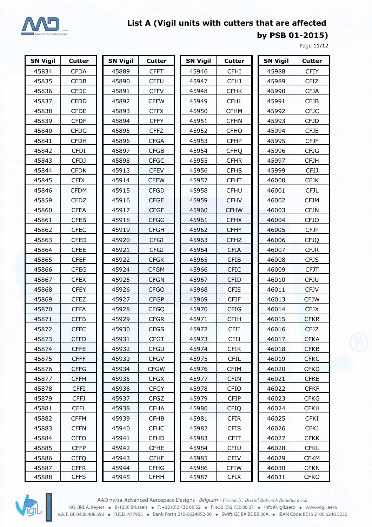

**by PSB 01-2015)**

Page 11/12

| <b>SN Vigil</b> | <b>Cutter</b> | <b>SN Vigil</b> | <b>Cutter</b> | <b>SN Vigil</b> | <b>Cutter</b> | <b>SN Vigil</b> | <b>Cutter</b> |
|-----------------|---------------|-----------------|---------------|-----------------|---------------|-----------------|---------------|
| 45834           | <b>CFDA</b>   | 45889           | <b>CFFT</b>   | 45946           | <b>CFHI</b>   | 45988           | <b>CFIY</b>   |
| 45835           | <b>CFDB</b>   | 45890           | <b>CFFU</b>   | 45947           | CFHJ          | 45989           | <b>CFIZ</b>   |
| 45836           | <b>CFDC</b>   | 45891           | <b>CFFV</b>   | 45948           | <b>CFHK</b>   | 45990           | <b>CFJA</b>   |
| 45837           | <b>CFDD</b>   | 45892           | <b>CFFW</b>   | 45949           | <b>CFHL</b>   | 45991           | <b>CFJB</b>   |
| 45838           | <b>CFDE</b>   | 45893           | <b>CFFX</b>   | 45950           | <b>CFHM</b>   | 45992           | <b>CFJC</b>   |
| 45839           | <b>CFDF</b>   | 45894           | <b>CFFY</b>   | 45951           | <b>CFHN</b>   | 45993           | <b>CFJD</b>   |
| 45840           | <b>CFDG</b>   | 45895           | <b>CFFZ</b>   | 45952           | <b>CFHO</b>   | 45994           | <b>CFJE</b>   |
| 45841           | <b>CFDH</b>   | 45896           | <b>CFGA</b>   | 45953           | <b>CFHP</b>   | 45995           | <b>CFJF</b>   |
| 45842           | <b>CFDI</b>   | 45897           | <b>CFGB</b>   | 45954           | <b>CFHQ</b>   | 45996           | <b>CFJG</b>   |
| 45843           | <b>CFDJ</b>   | 45898           | <b>CFGC</b>   | 45955           | <b>CFHR</b>   | 45997           | <b>CFJH</b>   |
| 45844           | <b>CFDK</b>   | 45913           | <b>CFEV</b>   | 45956           | <b>CFHS</b>   | 45999           | <b>CFJJ</b>   |
| 45845           | <b>CFDL</b>   | 45914           | <b>CFEW</b>   | 45957           | <b>CFHT</b>   | 46000           | <b>CFJK</b>   |
| 45846           | <b>CFDM</b>   | 45915           | <b>CFGD</b>   | 45958           | CFHU          | 46001           | <b>CFJL</b>   |
| 45859           | <b>CFDZ</b>   | 45916           | <b>CFGE</b>   | 45959           | <b>CFHV</b>   | 46002           | <b>CFJM</b>   |
| 45860           | <b>CFEA</b>   | 45917           | <b>CFGF</b>   | 45960           | <b>CFHW</b>   | 46003           | <b>CFJN</b>   |
| 45861           | <b>CFEB</b>   | 45918           | <b>CFGG</b>   | 45961           | <b>CFHX</b>   | 46004           | <b>CFJO</b>   |
| 45862           | <b>CFEC</b>   | 45919           | <b>CFGH</b>   | 45962           | <b>CFHY</b>   | 46005           | <b>CFJP</b>   |
| 45863           | <b>CFED</b>   | 45920           | <b>CFGI</b>   | 45963           | <b>CFHZ</b>   | 46006           | <b>CFJQ</b>   |
| 45864           | <b>CFEE</b>   | 45921           | CFGJ          | 45964           | <b>CFIA</b>   | 46007           | <b>CFJR</b>   |
| 45865           | <b>CFEF</b>   | 45922           | <b>CFGK</b>   | 45965           | <b>CFIB</b>   | 46008           | <b>CFJS</b>   |
| 45866           | <b>CFEG</b>   | 45924           | <b>CFGM</b>   | 45966           | <b>CFIC</b>   | 46009           | <b>CFJT</b>   |
| 45867           | <b>CFEX</b>   | 45925           | <b>CFGN</b>   | 45967           | <b>CFID</b>   | 46010           | <b>CFJU</b>   |
| 45868           | <b>CFEY</b>   | 45926           | <b>CFGO</b>   | 45968           | <b>CFIE</b>   | 46011           | <b>CFJV</b>   |
| 45869           | <b>CFEZ</b>   | 45927           | <b>CFGP</b>   | 45969           | <b>CFIF</b>   | 46013           | <b>CFJW</b>   |
| 45870           | <b>CFFA</b>   | 45928           | <b>CFGQ</b>   | 45970           | <b>CFIG</b>   | 46014           | <b>CFJX</b>   |
| 45871           | <b>CFFB</b>   | 45929           | <b>CFGR</b>   | 45971           | <b>CFIH</b>   | 46015           | <b>CFKR</b>   |
| 45872           | <b>CFFC</b>   | 45930           | <b>CFGS</b>   | 45972           | <b>CFII</b>   | 46016           | <b>CFJZ</b>   |
| 45873           | <b>CFFD</b>   | 45931           | <b>CFGT</b>   | 45973           | <b>CFIJ</b>   | 46017           | <b>CFKA</b>   |
| 45874           | <b>CFFE</b>   | 45932           | <b>CFGU</b>   | 45974           | <b>CFIK</b>   | 46018           | <b>CFKB</b>   |
| 45875           | <b>CFFF</b>   | 45933           | <b>CFGV</b>   | 45975           | <b>CFIL</b>   | 46019           | <b>CFKC</b>   |
| 45876           | <b>CFFG</b>   | 45934           | <b>CFGW</b>   | 45976           | <b>CFIM</b>   | 46020           | <b>CFKD</b>   |
| 45877           | <b>CFFH</b>   | 45935           | <b>CFGX</b>   | 45977           | <b>CFIN</b>   | 46021           | <b>CFKE</b>   |
| 45878           | <b>CFFI</b>   | 45936           | <b>CFGY</b>   | 45978           | CFIO          | 46022           | <b>CFKF</b>   |
| 45879           | CFFJ          | 45937           | <b>CFGZ</b>   | 45979           | <b>CFIP</b>   | 46023           | <b>CFKG</b>   |
| 45881           | <b>CFFL</b>   | 45938           | <b>CFHA</b>   | 45980           | <b>CFIQ</b>   | 46024           | <b>CFKH</b>   |
| 45882           | <b>CFFM</b>   | 45939           | <b>CFHB</b>   | 45981           | <b>CFIR</b>   | 46025           | <b>CFKI</b>   |
| 45883           | <b>CFFN</b>   | 45940           | <b>CFHC</b>   | 45982           | <b>CFIS</b>   | 46026           | CFKJ          |
| 45884           | <b>CFFO</b>   | 45941           | <b>CFHD</b>   | 45983           | <b>CFIT</b>   | 46027           | <b>CFKK</b>   |
| 45885           | <b>CFFP</b>   | 45942           | <b>CFHE</b>   | 45984           | CFIU          | 46028           | <b>CFKL</b>   |
| 45886           | <b>CFFQ</b>   | 45943           | <b>CFHF</b>   | 45985           | <b>CFIV</b>   | 46029           | <b>CFKM</b>   |
| 45887           | <b>CFFR</b>   | 45944           | <b>CFHG</b>   | 45986           | <b>CFIW</b>   | 46030           | <b>CFKN</b>   |
| 45888           | <b>CFFS</b>   | 45945           | <b>CFHH</b>   | 45987           | <b>CFIX</b>   | 46031           | <b>CFKO</b>   |



AAD nv/sa. Advanced Aerospace Designs - Belgium - Formerly: Bristol Babcock Benelux nv/sa 193, Bld. A. Reyers • B-1030 Brussels • T: +32 (0)2 732 65 52 • F: +32 (0)2 736 06 27 • info@vigil.aero • www.vigil.aero<br>V.A.T.: BE 0428.488.590 • R.C.B.: 477955 • Bank: Fortis 210-0624852-30 • Swift: GE BA BE BB 36A • IBA